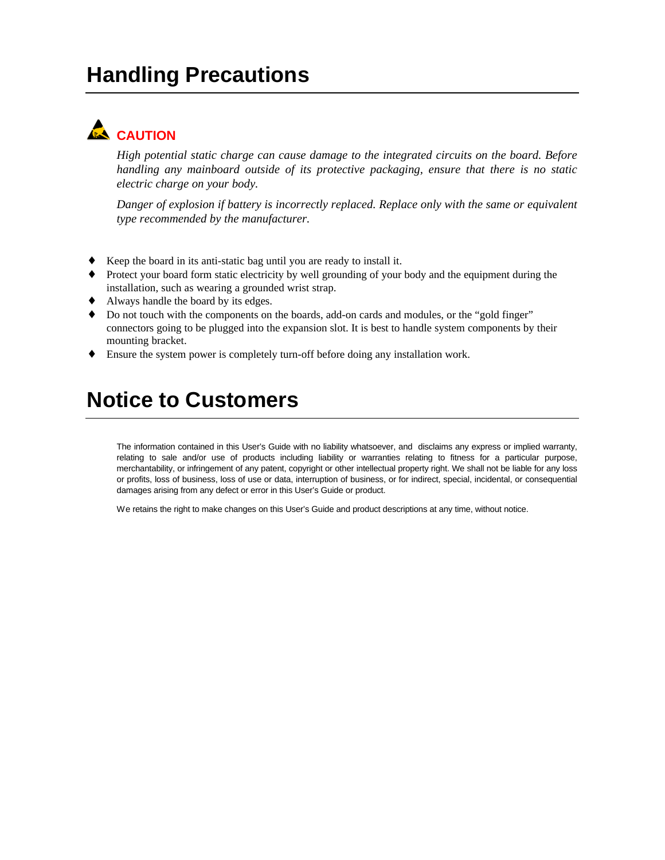## **Handling Precautions**

## **CAUTION**

*High potential static charge can cause damage to the integrated circuits on the board. Before handling any mainboard outside of its protective packaging, ensure that there is no static electric charge on your body.*

*Danger of explosion if battery is incorrectly replaced. Replace only with the same or equivalent type recommended by the manufacturer.*

- ♦ Keep the board in its anti-static bag until you are ready to install it.
- ♦ Protect your board form static electricity by well grounding of your body and the equipment during the installation, such as wearing a grounded wrist strap.
- ♦ Always handle the board by its edges.
- ♦ Do not touch with the components on the boards, add-on cards and modules, or the "gold finger" connectors going to be plugged into the expansion slot. It is best to handle system components by their mounting bracket.
- ♦ Ensure the system power is completely turn-off before doing any installation work.

## **Notice to Customers**

The information contained in this User's Guide with no liability whatsoever, and disclaims any express or implied warranty, relating to sale and/or use of products including liability or warranties relating to fitness for a particular purpose, merchantability, or infringement of any patent, copyright or other intellectual property right. We shall not be liable for any loss or profits, loss of business, loss of use or data, interruption of business, or for indirect, special, incidental, or consequential damages arising from any defect or error in this User's Guide or product.

We retains the right to make changes on this User's Guide and product descriptions at any time, without notice.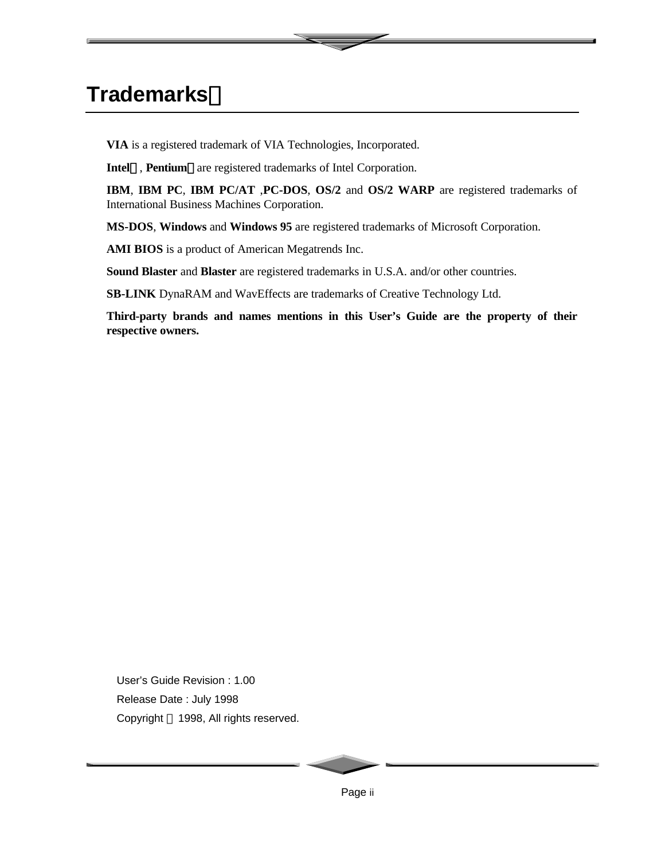## **Trademarks**

**VIA** is a registered trademark of VIA Technologies, Incorporated.

**Intel**®, Pentium<sup>®</sup>are registered trademarks of Intel Corporation.

**IBM**, **IBM PC**, **IBM PC/AT** ,**PC-DOS**, **OS/2** and **OS/2 WARP** are registered trademarks of International Business Machines Corporation.

**MS-DOS**, **Windows** and **Windows 95** are registered trademarks of Microsoft Corporation.

**AMI BIOS** is a product of American Megatrends Inc.

**Sound Blaster** and **Blaster** are registered trademarks in U.S.A. and/or other countries.

**SB-LINK** DynaRAM and WavEffects are trademarks of Creative Technology Ltd.

**Third-party brands and names mentions in this User's Guide are the property of their respective owners.**

User's Guide Revision : 1.00 Release Date : July 1998 Copyright © 1998, All rights reserved.

Page ii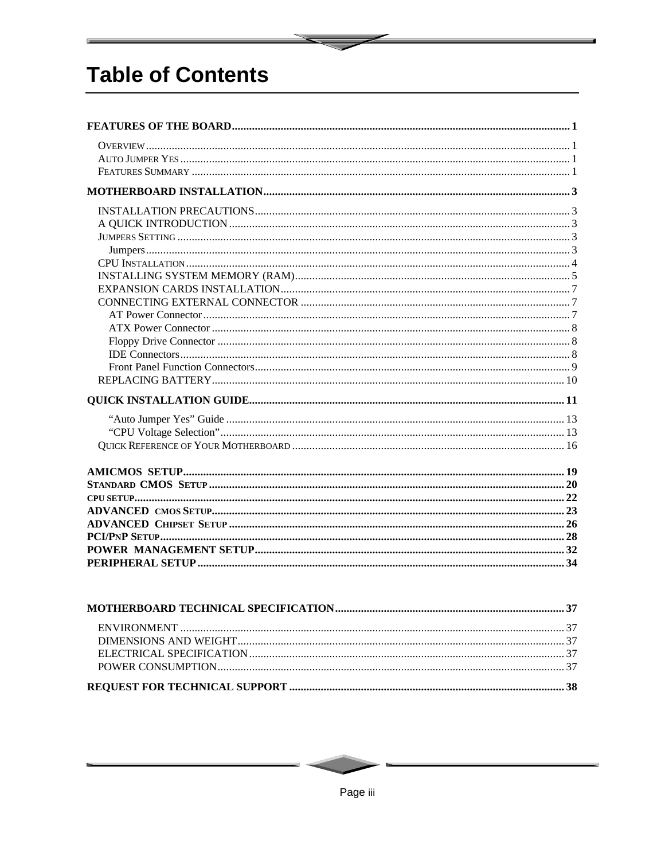## **Table of Contents**

| $\textbf{INSTALLING SYSTEM MEMORY (RAM)} \textcolor{red}{\textbf{.} \textbf{.} \textbf{.} \textbf{.} \textbf{.} \textbf{.} \textbf{.} \textbf{.} \textbf{.} \textbf{.} \textbf{.} \textbf{.} \textbf{.} \textbf{.} \textbf{.} \textbf{.} \textbf{.} \textbf{.} \textbf{.} \textbf{.} \textbf{.} \textbf{.} \textbf{.} \textbf{.} \textbf{.} \textbf{.} \textbf{.} \textbf{.} \textbf{.} \textbf{.} \textbf{.} \textbf{.} \textbf{.} \text$ |  |
|--------------------------------------------------------------------------------------------------------------------------------------------------------------------------------------------------------------------------------------------------------------------------------------------------------------------------------------------------------------------------------------------------------------------------------------------|--|
|                                                                                                                                                                                                                                                                                                                                                                                                                                            |  |
|                                                                                                                                                                                                                                                                                                                                                                                                                                            |  |
|                                                                                                                                                                                                                                                                                                                                                                                                                                            |  |
|                                                                                                                                                                                                                                                                                                                                                                                                                                            |  |
|                                                                                                                                                                                                                                                                                                                                                                                                                                            |  |
|                                                                                                                                                                                                                                                                                                                                                                                                                                            |  |
|                                                                                                                                                                                                                                                                                                                                                                                                                                            |  |
|                                                                                                                                                                                                                                                                                                                                                                                                                                            |  |
|                                                                                                                                                                                                                                                                                                                                                                                                                                            |  |
|                                                                                                                                                                                                                                                                                                                                                                                                                                            |  |
|                                                                                                                                                                                                                                                                                                                                                                                                                                            |  |
|                                                                                                                                                                                                                                                                                                                                                                                                                                            |  |
|                                                                                                                                                                                                                                                                                                                                                                                                                                            |  |
|                                                                                                                                                                                                                                                                                                                                                                                                                                            |  |
|                                                                                                                                                                                                                                                                                                                                                                                                                                            |  |
|                                                                                                                                                                                                                                                                                                                                                                                                                                            |  |
|                                                                                                                                                                                                                                                                                                                                                                                                                                            |  |
|                                                                                                                                                                                                                                                                                                                                                                                                                                            |  |
|                                                                                                                                                                                                                                                                                                                                                                                                                                            |  |
|                                                                                                                                                                                                                                                                                                                                                                                                                                            |  |
|                                                                                                                                                                                                                                                                                                                                                                                                                                            |  |
|                                                                                                                                                                                                                                                                                                                                                                                                                                            |  |
|                                                                                                                                                                                                                                                                                                                                                                                                                                            |  |
|                                                                                                                                                                                                                                                                                                                                                                                                                                            |  |
|                                                                                                                                                                                                                                                                                                                                                                                                                                            |  |
|                                                                                                                                                                                                                                                                                                                                                                                                                                            |  |
|                                                                                                                                                                                                                                                                                                                                                                                                                                            |  |
|                                                                                                                                                                                                                                                                                                                                                                                                                                            |  |
|                                                                                                                                                                                                                                                                                                                                                                                                                                            |  |
|                                                                                                                                                                                                                                                                                                                                                                                                                                            |  |

 $\blacksquare$ 

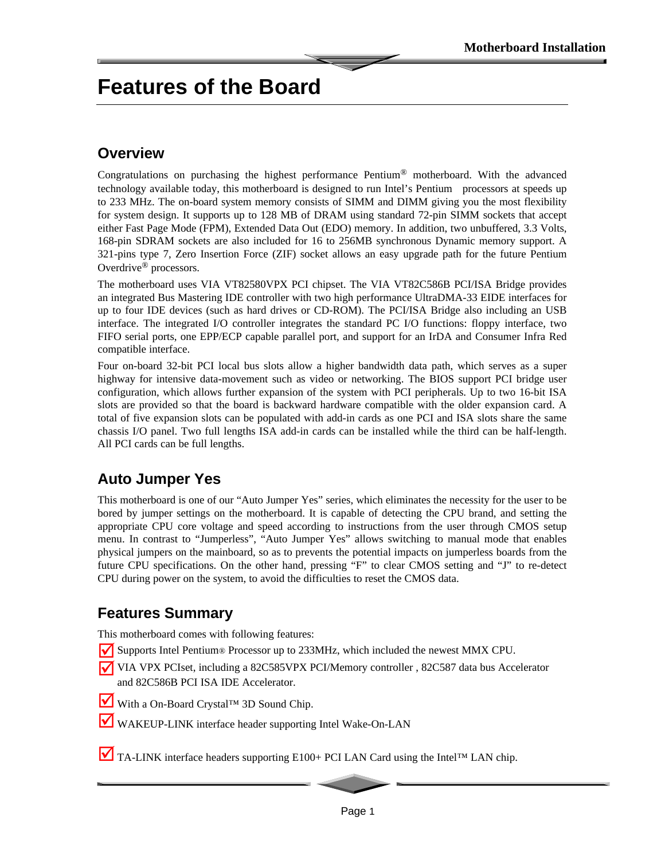## **Features of the Board**

#### **Overview**

Congratulations on purchasing the highest performance Pentium® motherboard. With the advanced technology available today, this motherboard is designed to run Intel's Pentium processors at speeds up to 233 MHz. The on-board system memory consists of SIMM and DIMM giving you the most flexibility for system design. It supports up to 128 MB of DRAM using standard 72-pin SIMM sockets that accept either Fast Page Mode (FPM), Extended Data Out (EDO) memory. In addition, two unbuffered, 3.3 Volts, 168-pin SDRAM sockets are also included for 16 to 256MB synchronous Dynamic memory support. A 321-pins type 7, Zero Insertion Force (ZIF) socket allows an easy upgrade path for the future Pentium Overdrive® processors.

The motherboard uses VIA VT82580VPX PCI chipset. The VIA VT82C586B PCI/ISA Bridge provides an integrated Bus Mastering IDE controller with two high performance UltraDMA-33 EIDE interfaces for up to four IDE devices (such as hard drives or CD-ROM). The PCI/ISA Bridge also including an USB interface. The integrated I/O controller integrates the standard PC I/O functions: floppy interface, two FIFO serial ports, one EPP/ECP capable parallel port, and support for an IrDA and Consumer Infra Red compatible interface.

Four on-board 32-bit PCI local bus slots allow a higher bandwidth data path, which serves as a super highway for intensive data-movement such as video or networking. The BIOS support PCI bridge user configuration, which allows further expansion of the system with PCI peripherals. Up to two 16-bit ISA slots are provided so that the board is backward hardware compatible with the older expansion card. A total of five expansion slots can be populated with add-in cards as one PCI and ISA slots share the same chassis I/O panel. Two full lengths ISA add-in cards can be installed while the third can be half-length. All PCI cards can be full lengths.

### **Auto Jumper Yes**

This motherboard is one of our "Auto Jumper Yes" series, which eliminates the necessity for the user to be bored by jumper settings on the motherboard. It is capable of detecting the CPU brand, and setting the appropriate CPU core voltage and speed according to instructions from the user through CMOS setup menu. In contrast to "Jumperless", "Auto Jumper Yes" allows switching to manual mode that enables physical jumpers on the mainboard, so as to prevents the potential impacts on jumperless boards from the future CPU specifications. On the other hand, pressing "F" to clear CMOS setting and "J" to re-detect CPU during power on the system, to avoid the difficulties to reset the CMOS data.

#### **Features Summary**

This motherboard comes with following features:

- ˛Supports Intel Pentium® Processor up to 233MHz, which included the newest MMX CPU.
- ˛VIA VPX PCIset, including a 82C585VPX PCI/Memory controller , 82C587 data bus Accelerator and 82C586B PCI ISA IDE Accelerator.
- ˛ With a On-Board Crystal™ 3D Sound Chip.
- ˛ WAKEUP-LINK interface header supporting Intel Wake-On-LAN

˛TA-LINK interface headers supporting E100+ PCI LAN Card using the Intel™ LAN chip.

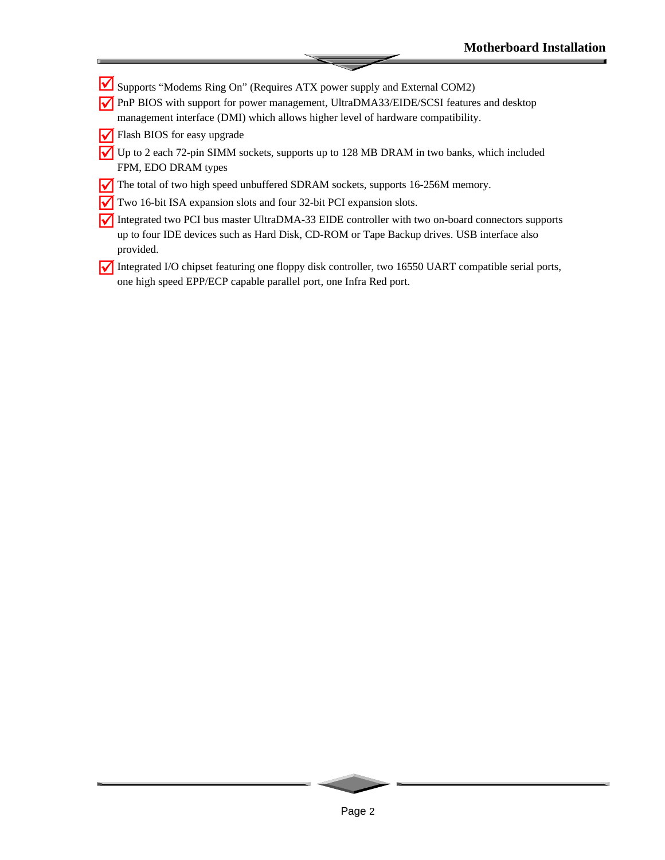- ˛Supports "Modems Ring On" (Requires ATX power supply and External COM2)
- ▼ PnP BIOS with support for power management, UltraDMA33/EIDE/SCSI features and desktop management interface (DMI) which allows higher level of hardware compatibility.
- **▼**Flash BIOS for easy upgrade
- **V** Up to 2 each 72-pin SIMM sockets, supports up to 128 MB DRAM in two banks, which included FPM, EDO DRAM types
- $\sqrt{\phantom{a}}$  The total of two high speed unbuffered SDRAM sockets, supports 16-256M memory.
- ▼ Two 16-bit ISA expansion slots and four 32-bit PCI expansion slots.
- Integrated two PCI bus master UltraDMA-33 EIDE controller with two on-board connectors supports up to four IDE devices such as Hard Disk, CD-ROM or Tape Backup drives. USB interface also provided.
- Integrated I/O chipset featuring one floppy disk controller, two 16550 UART compatible serial ports, one high speed EPP/ECP capable parallel port, one Infra Red port.

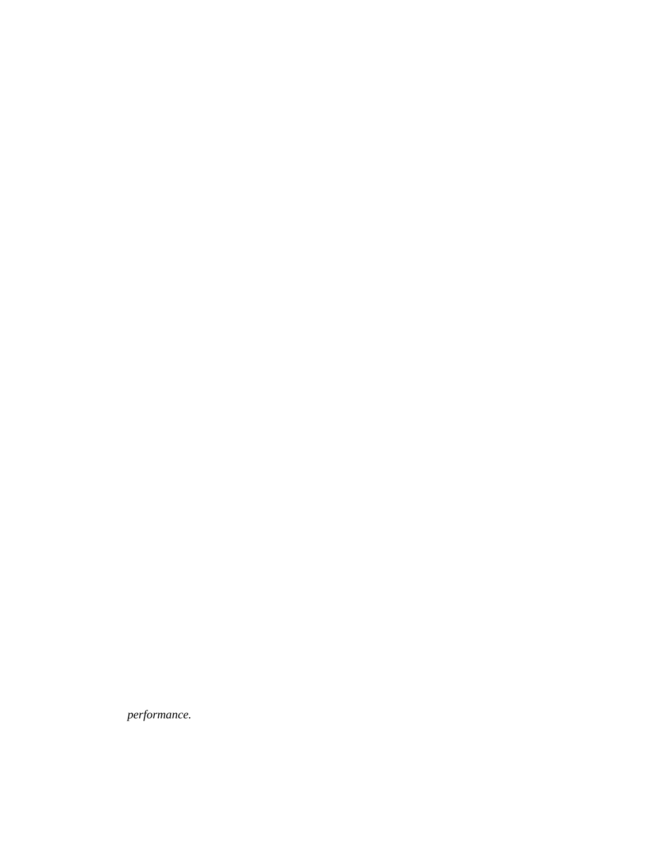*performance.*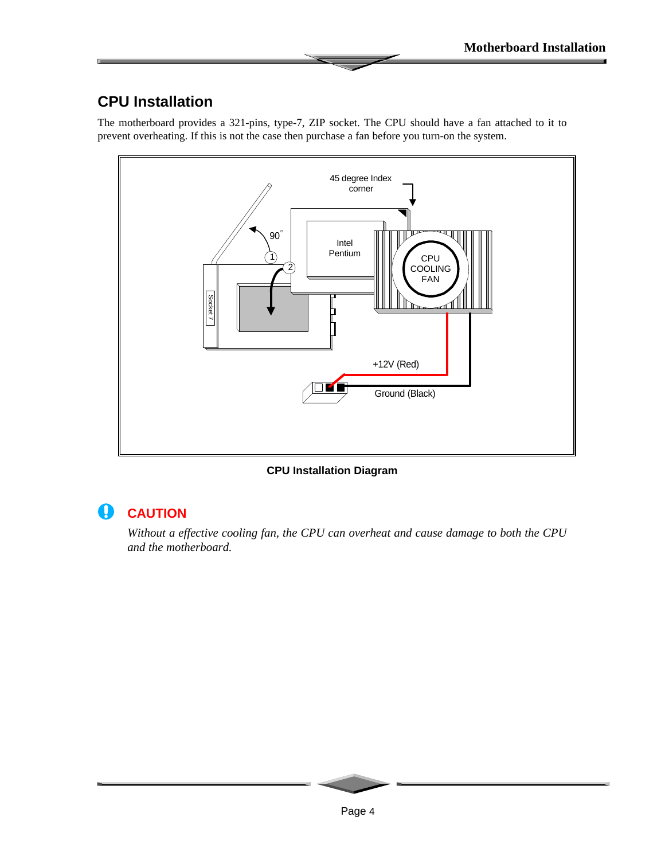### **CPU Installation**

The motherboard provides a 321-pins, type-7, ZIP socket. The CPU should have a fan attached to it to prevent overheating. If this is not the case then purchase a fan before you turn-on the system.



**CPU Installation Diagram**

### **Q** CAUTION

*Without a effective cooling fan, the CPU can overheat and cause damage to both the CPU and the motherboard.*

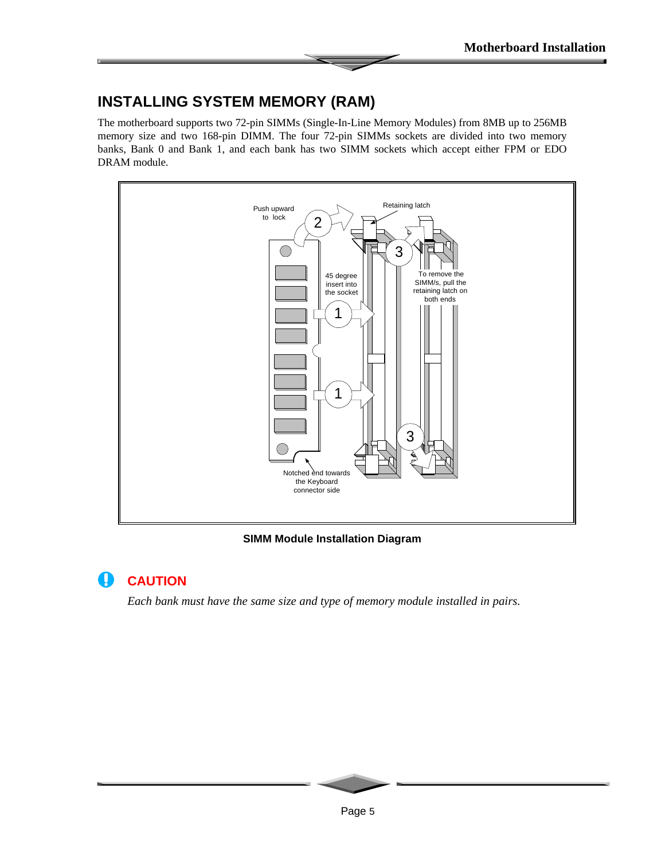### **INSTALLING SYSTEM MEMORY (RAM)**

The motherboard supports two 72-pin SIMMs (Single-In-Line Memory Modules) from 8MB up to 256MB memory size and two 168-pin DIMM. The four 72-pin SIMMs sockets are divided into two memory banks, Bank 0 and Bank 1, and each bank has two SIMM sockets which accept either FPM or EDO DRAM module.



**SIMM Module Installation Diagram**

### **Q** CAUTION

*Each bank must have the same size and type of memory module installed in pairs.*

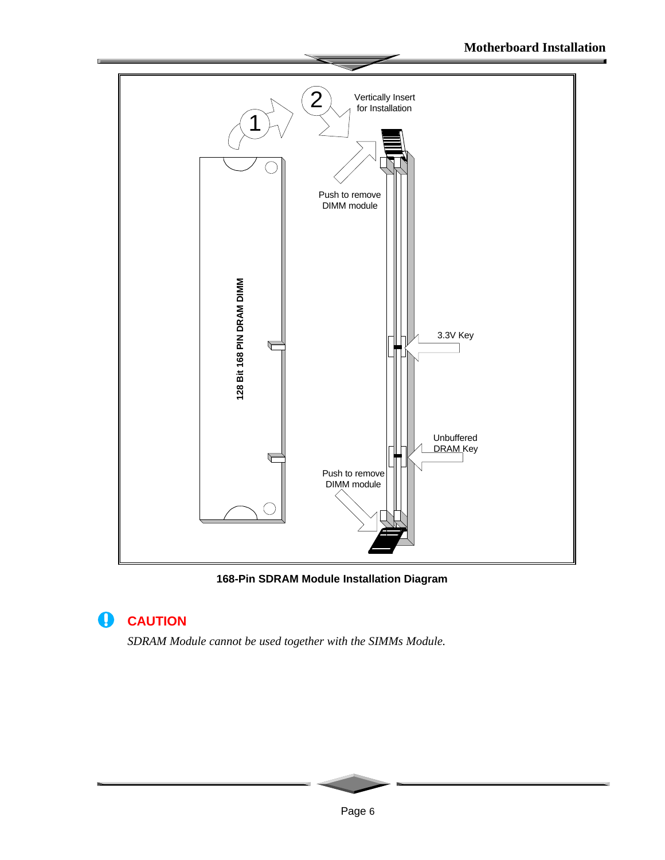

**168-Pin SDRAM Module Installation Diagram**

## **Q** CAUTION

*SDRAM Module cannot be used together with the SIMMs Module.*

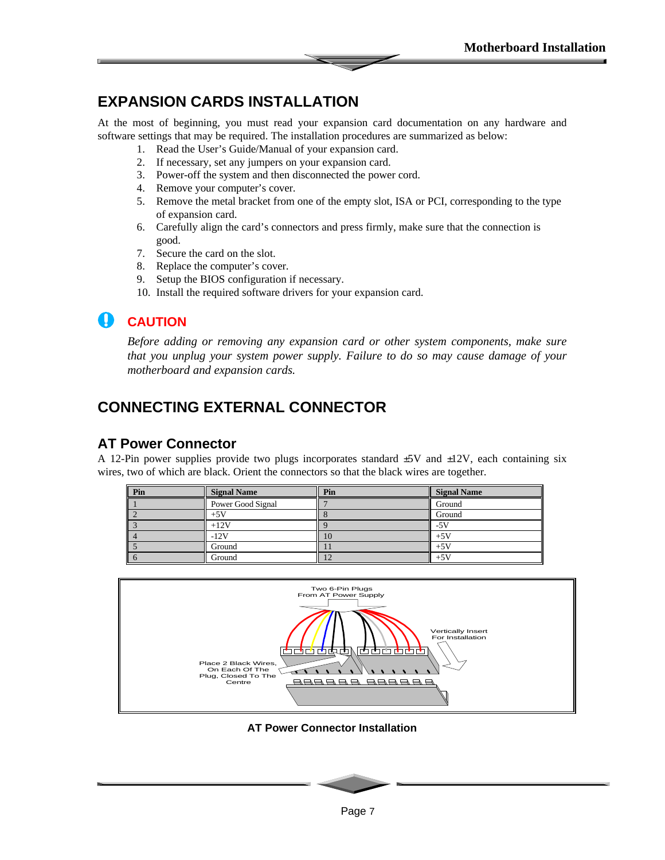#### **EXPANSION CARDS INSTALLATION**

At the most of beginning, you must read your expansion card documentation on any hardware and software settings that may be required. The installation procedures are summarized as below:

- 1. Read the User's Guide/Manual of your expansion card.
- 2. If necessary, set any jumpers on your expansion card.
- 3. Power-off the system and then disconnected the power cord.
- 4. Remove your computer's cover.
- 5. Remove the metal bracket from one of the empty slot, ISA or PCI, corresponding to the type of expansion card.
- 6. Carefully align the card's connectors and press firmly, make sure that the connection is good.
- 7. Secure the card on the slot.
- 8. Replace the computer's cover.
- 9. Setup the BIOS configuration if necessary.
- 10. Install the required software drivers for your expansion card.

### **CAUTION**

*Before adding or removing any expansion card or other system components, make sure that you unplug your system power supply. Failure to do so may cause damage of your motherboard and expansion cards.*

#### **CONNECTING EXTERNAL CONNECTOR**

#### **AT Power Connector**

A 12-Pin power supplies provide two plugs incorporates standard  $\pm 5V$  and  $\pm 12V$ , each containing six wires, two of which are black. Orient the connectors so that the black wires are together.

| Pin | <b>Signal Name</b> | Pin            | <b>Signal Name</b> |
|-----|--------------------|----------------|--------------------|
|     | Power Good Signal  |                | Ground             |
|     | $+5V$              |                | Ground             |
|     | $+12V$             |                | -5 V               |
|     | $-12V$             | 10.            | $+5V$              |
|     | Ground             |                | $+5V$              |
|     | Ground             | $\overline{1}$ | $+5V$              |



**AT Power Connector Installation**

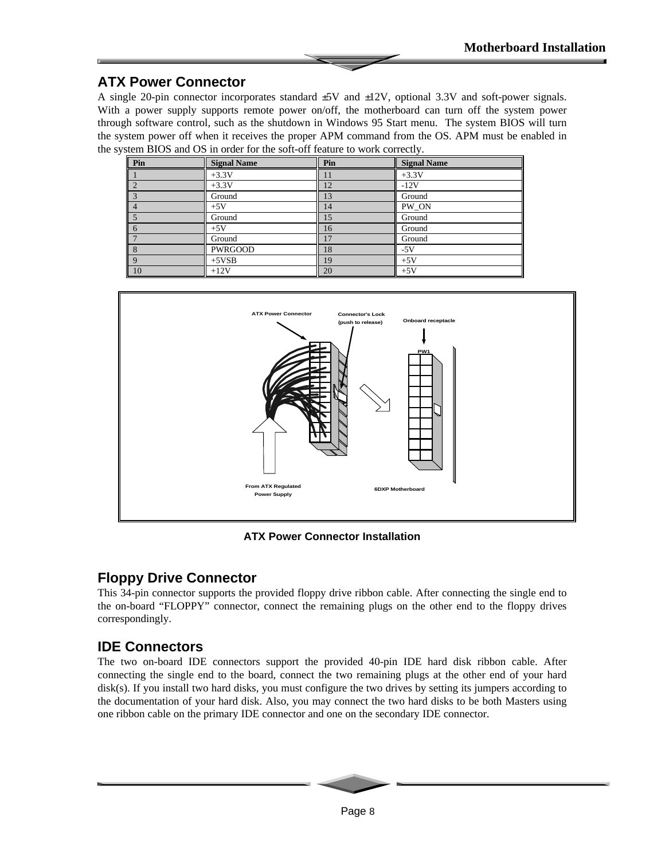#### **ATX Power Connector**

A single 20-pin connector incorporates standard ±5V and ±12V, optional 3.3V and soft-power signals. With a power supply supports remote power on/off, the motherboard can turn off the system power through software control, such as the shutdown in Windows 95 Start menu. The system BIOS will turn the system power off when it receives the proper APM command from the OS. APM must be enabled in the system BIOS and OS in order for the soft-off feature to work correctly.

| Pin     | <b>Signal Name</b> | Pin | <b>Signal Name</b> |
|---------|--------------------|-----|--------------------|
|         | $+3.3V$            | 41  | $+3.3V$            |
|         | $+3.3V$            | 12  | $-12V$             |
|         | Ground             | 13  | Ground             |
|         | $+5V$              | 14  | PW_ON              |
|         | Ground             | 15  | Ground             |
| II<br>h | $+5V$              | 16  | Ground             |
| II      | Ground             | 17  | Ground             |
| II      | <b>PWRGOOD</b>     | 18  | $-5V$              |
| II      | $+5VSB$            | 19  | $+5V$              |
| I<br>10 | $+12V$             | 20  | $+5V$              |



**ATX Power Connector Installation**

#### **Floppy Drive Connector**

This 34-pin connector supports the provided floppy drive ribbon cable. After connecting the single end to the on-board "FLOPPY" connector, connect the remaining plugs on the other end to the floppy drives correspondingly.

#### **IDE Connectors**

The two on-board IDE connectors support the provided 40-pin IDE hard disk ribbon cable. After connecting the single end to the board, connect the two remaining plugs at the other end of your hard disk(s). If you install two hard disks, you must configure the two drives by setting its jumpers according to the documentation of your hard disk. Also, you may connect the two hard disks to be both Masters using one ribbon cable on the primary IDE connector and one on the secondary IDE connector.

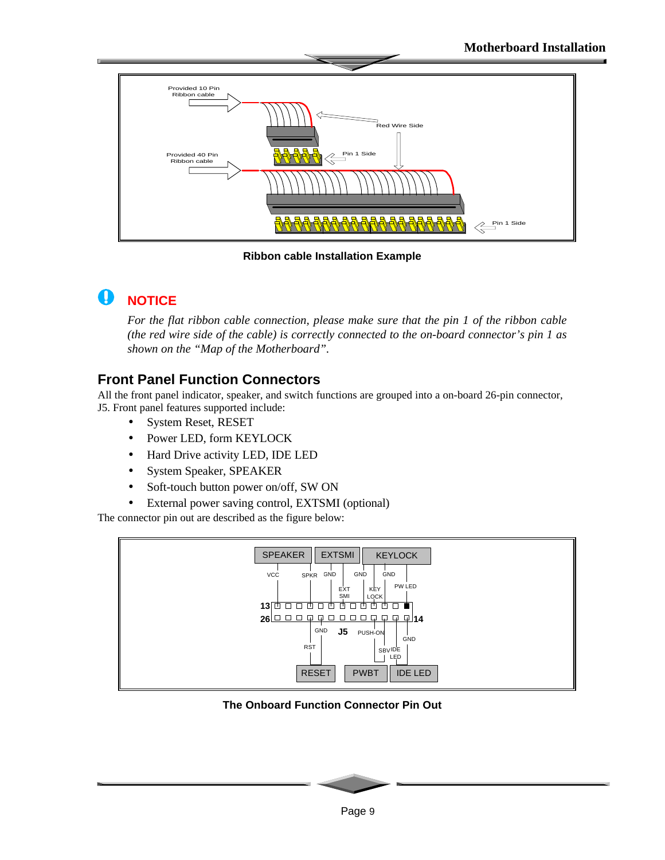

**Ribbon cable Installation Example**

#### O **NOTICE**

*For the flat ribbon cable connection, please make sure that the pin 1 of the ribbon cable (the red wire side of the cable) is correctly connected to the on-board connector's pin 1 as shown on the "Map of the Motherboard".*

#### **Front Panel Function Connectors**

All the front panel indicator, speaker, and switch functions are grouped into a on-board 26-pin connector, J5. Front panel features supported include:

- System Reset, RESET
- Power LED, form KEYLOCK
- Hard Drive activity LED, IDE LED
- System Speaker, SPEAKER
- Soft-touch button power on/off, SW ON
- External power saving control, EXTSMI (optional)

The connector pin out are described as the figure below:



**The Onboard Function Connector Pin Out**

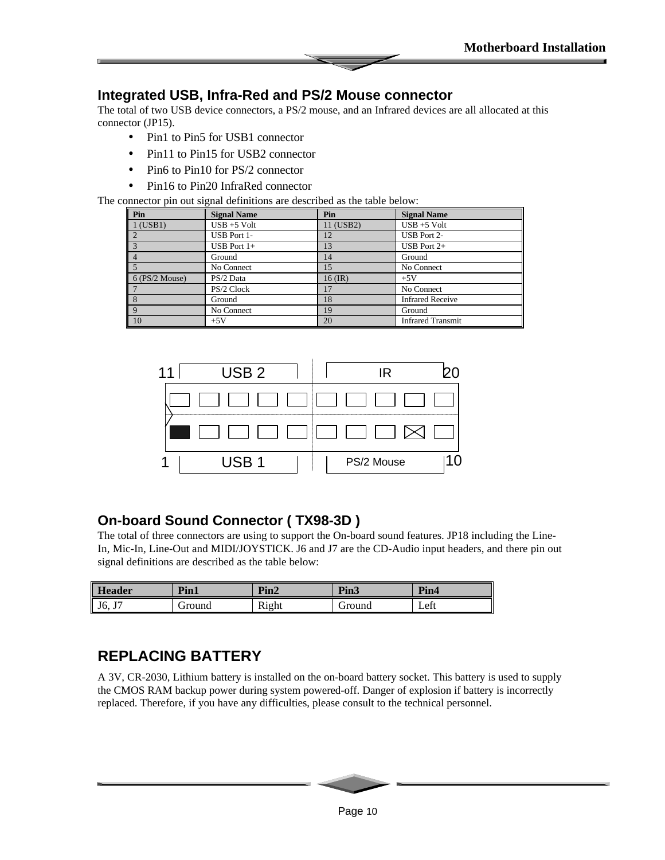#### **Integrated USB, Infra-Red and PS/2 Mouse connector**

The total of two USB device connectors, a PS/2 mouse, and an Infrared devices are all allocated at this connector (JP15).

- Pin1 to Pin5 for USB1 connector
- Pin11 to Pin15 for USB2 connector
- Pin6 to Pin10 for PS/2 connector
- Pin16 to Pin20 InfraRed connector

The connector pin out signal definitions are described as the table below:

| Pin              | <b>Signal Name</b> | Pin       | <b>Signal Name</b>       |
|------------------|--------------------|-----------|--------------------------|
| $1$ (USB1)       | $USB + 5$ Volt     | 11 (USB2) | $USB + 5$ Volt           |
| $\overline{2}$   | <b>USB</b> Port 1- | 12        | <b>USB</b> Port 2-       |
| $\mathcal{R}$    | USB Port $1+$      | 13        | USB Port $2+$            |
|                  | Ground             | 14        | Ground                   |
|                  | No Connect         | 15        | No Connect               |
| $6$ (PS/2 Mouse) | PS/2 Data          | $16$ (IR) | $+5V$                    |
|                  | PS/2 Clock         | 17        | No Connect               |
| 8                | Ground             | 18        | <b>Infrared Receive</b>  |
| $\mathbf{Q}$     | No Connect         | 19        | Ground                   |
| 10               | $+5V$              | 20        | <b>Infrared Transmit</b> |



#### **On-board Sound Connector ( TX98-3D )**

The total of three connectors are using to support the On-board sound features. JP18 including the Line-In, Mic-In, Line-Out and MIDI/JOYSTICK. J6 and J7 are the CD-Audio input headers, and there pin out signal definitions are described as the table below:

| Header      | Pin1   | Pin2  | Pin3   | Pin4 |
|-------------|--------|-------|--------|------|
| J6<br>JU.J. | bround | Right | fround | Left |

#### **REPLACING BATTERY**

A 3V, CR-2030, Lithium battery is installed on the on-board battery socket. This battery is used to supply the CMOS RAM backup power during system powered-off. Danger of explosion if battery is incorrectly replaced. Therefore, if you have any difficulties, please consult to the technical personnel.

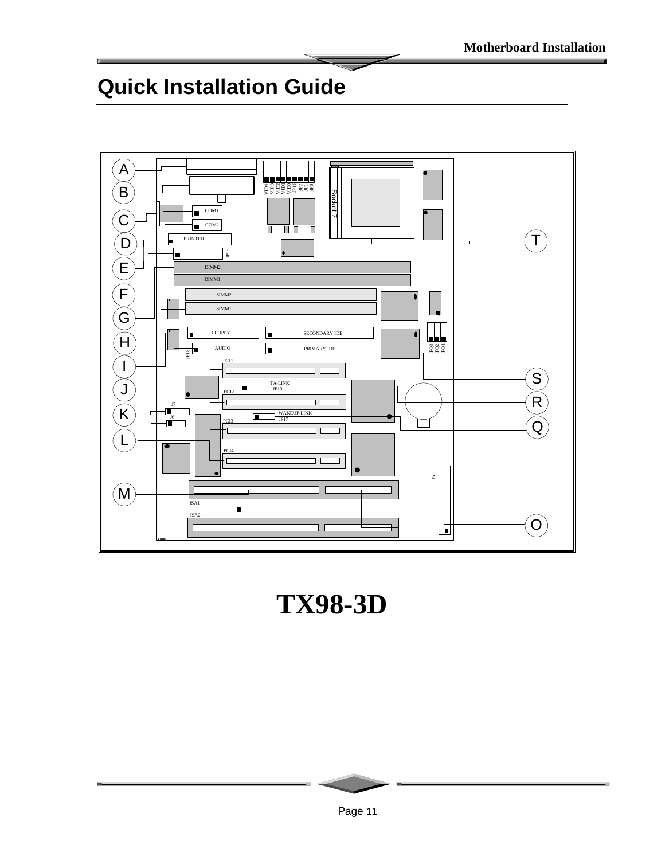## **Quick Installation Guide**



**TX98-3D**

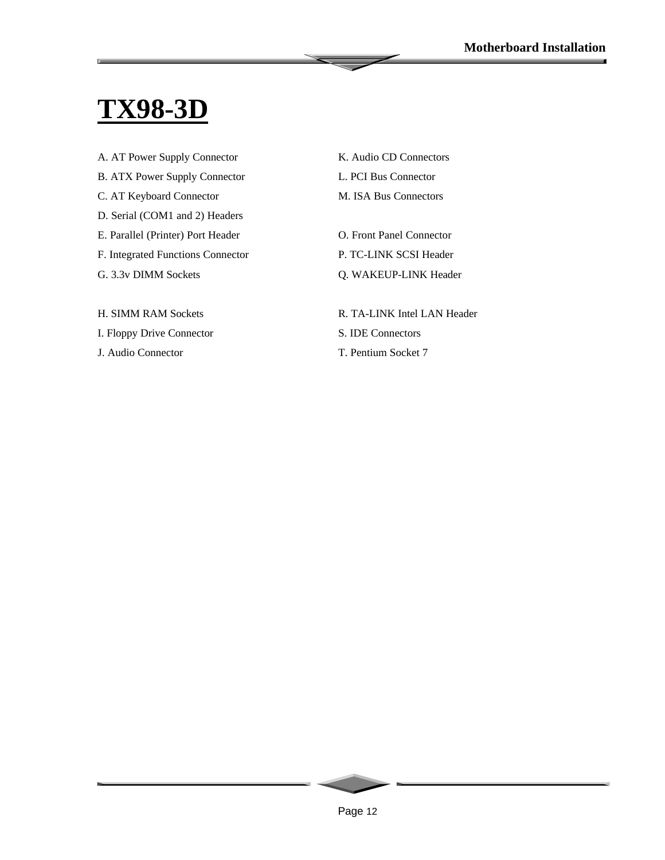# **TX98-3D**

A. AT Power Supply Connector K. Audio CD Connectors

- B. ATX Power Supply Connector L. PCI Bus Connector
- C. AT Keyboard Connector M. ISA Bus Connectors
- D. Serial (COM1 and 2) Headers

E. Parallel (Printer) Port Header **O. Front Panel Connector** 

- F. Integrated Functions Connector P. TC-LINK SCSI Header
- 

I. Floppy Drive Connector S. IDE Connectors

- 
- 
- 

- 
- G. 3.3v DIMM Sockets **Q. WAKEUP-LINK Header**
- H. SIMM RAM Sockets **R. TA-LINK Intel LAN Header** 
	-
- J. Audio Connector T. Pentium Socket 7

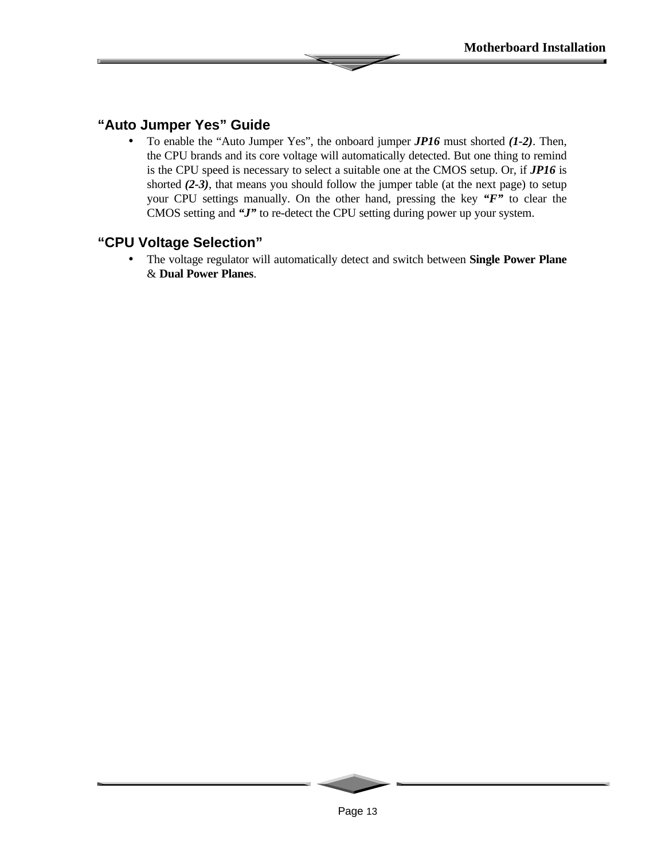#### **"Auto Jumper Yes" Guide**

• To enable the "Auto Jumper Yes", the onboard jumper *JP16* must shorted *(1-2)*. Then, the CPU brands and its core voltage will automatically detected. But one thing to remind is the CPU speed is necessary to select a suitable one at the CMOS setup. Or, if *JP16* is shorted *(2-3)*, that means you should follow the jumper table (at the next page) to setup your CPU settings manually. On the other hand, pressing the key *"F"* to clear the CMOS setting and *"J"* to re-detect the CPU setting during power up your system.

#### **"CPU Voltage Selection"**

• The voltage regulator will automatically detect and switch between **Single Power Plane** & **Dual Power Planes**.

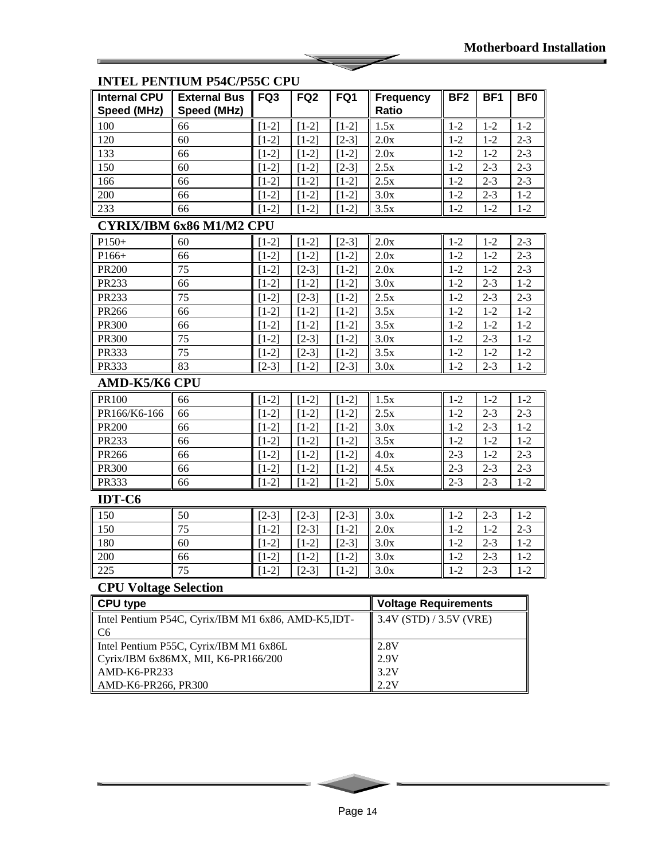$\overline{\phantom{0}}$ 

|                                                    | <b>INTEL PENTIUM P54C/P55C CPU</b> |         |                 |                         |                             |                 |                 |            |
|----------------------------------------------------|------------------------------------|---------|-----------------|-------------------------|-----------------------------|-----------------|-----------------|------------|
| <b>Internal CPU</b><br>Speed (MHz)                 | <b>External Bus</b><br>Speed (MHz) | FQ3     | FQ <sub>2</sub> | FQ1                     | <b>Frequency</b><br>Ratio   | BF <sub>2</sub> | BF <sub>1</sub> | <b>BF0</b> |
| 100                                                | 66                                 | $[1-2]$ | $[1-2]$         | $[1-2]$                 | 1.5x                        | $1 - 2$         | $1 - 2$         | $1 - 2$    |
| 120                                                | 60                                 | $[1-2]$ | $[1-2]$         | $[2-3]$                 | 2.0x                        | $1 - 2$         | $1 - 2$         | $2 - 3$    |
| 133                                                | 66                                 | $[1-2]$ | $[1-2]$         | $[1-2]$                 | 2.0x                        | $1 - 2$         | $1 - 2$         | $2 - 3$    |
| 150                                                | 60                                 | $[1-2]$ | $[1-2]$         | $[2-3]$                 | 2.5x                        | $1 - 2$         | $2 - 3$         | $2 - 3$    |
| 166                                                | 66                                 | $[1-2]$ | $[1-2]$         | $[1-2]$                 | 2.5x                        | $1 - 2$         | $2 - 3$         | $2 - 3$    |
| 200                                                | 66                                 | $[1-2]$ | $[1-2]$         | $[1-2]$                 | 3.0x                        | $1 - 2$         | $2 - 3$         | $1 - 2$    |
| 233                                                | 66                                 | $[1-2]$ | $[1-2]$         | $[1-2]$                 | 3.5x                        | $1 - 2$         | $1 - 2$         | $1 - 2$    |
|                                                    | CYRIX/IBM 6x86 M1/M2 CPU           |         |                 |                         |                             |                 |                 |            |
| $P150+$                                            | 60                                 | $[1-2]$ | $[1-2]$         | $[2-3]$                 | 2.0x                        | $1 - 2$         | $1 - 2$         | $2 - 3$    |
| P166+                                              | 66                                 | $[1-2]$ | $[1-2]$         | $[1-2]$                 | 2.0x                        | $1 - 2$         | $1 - 2$         | $2 - 3$    |
| <b>PR200</b>                                       | 75                                 | $[1-2]$ | $[2-3]$         | $[1-2]$                 | 2.0x                        | $1 - 2$         | $1 - 2$         | $2 - 3$    |
| PR233                                              | 66                                 | $[1-2]$ | $[1-2]$         | $[1-2]$                 | 3.0x                        | $1 - 2$         | $2 - 3$         | $1 - 2$    |
| PR233                                              | 75                                 | $[1-2]$ | $[2-3]$         | $[1-2]$                 | 2.5x                        | $1 - 2$         | $2 - 3$         | $2 - 3$    |
| PR266                                              | 66                                 | $[1-2]$ | $[1-2]$         | $[1-2]$                 | 3.5x                        | $1 - 2$         | $1 - 2$         | $1 - 2$    |
| <b>PR300</b>                                       | 66                                 | $[1-2]$ | $[1-2]$         | $[1-2]$                 | 3.5x                        | $1 - 2$         | $1 - 2$         | $1 - 2$    |
| <b>PR300</b>                                       | 75                                 | $[1-2]$ | $[2-3]$         | $[1-2]$                 | 3.0x                        | $1 - 2$         | $2 - 3$         | $1 - 2$    |
| PR333                                              | 75                                 | $[1-2]$ | $[2-3]$         | $[1-2]$                 | 3.5x                        | $1 - 2$         | $1 - 2$         | $1 - 2$    |
| <b>PR333</b>                                       | 83                                 | $[2-3]$ | $[1-2]$         | $[2-3]$                 | 3.0x                        | $1 - 2$         | $2 - 3$         | $1 - 2$    |
| <b>AMD-K5/K6 CPU</b>                               |                                    |         |                 |                         |                             |                 |                 |            |
| PR100                                              | 66                                 | $[1-2]$ | $[1-2]$         | $[1-2]$                 | 1.5x                        | $1 - 2$         | $1 - 2$         | $1 - 2$    |
| PR166/K6-166                                       | 66                                 | $[1-2]$ | $[1-2]$         | $[1-2]$                 | 2.5x                        | $1 - 2$         | $2 - 3$         | $2 - 3$    |
| <b>PR200</b>                                       | 66                                 | $[1-2]$ | $[1-2]$         | $[1-2]$                 | 3.0x                        | $1 - 2$         | $2 - 3$         | $1 - 2$    |
| PR233                                              | 66                                 | $[1-2]$ | $[1-2]$         | $[1-2]$                 | 3.5x                        | $1 - 2$         | $1 - 2$         | $1 - 2$    |
| PR266                                              | 66                                 | $[1-2]$ | $[1-2]$         | $[1-2]$                 | 4.0x                        | $2 - 3$         | $1 - 2$         | $2 - 3$    |
| <b>PR300</b>                                       | 66                                 | $[1-2]$ | $[1-2]$         | $[1-2]$                 | 4.5x                        | $2 - 3$         | $2 - 3$         | $2 - 3$    |
| PR333                                              | 66                                 | $[1-2]$ | $[1-2]$         | $[1-2]$                 | 5.0x                        | $2 - 3$         | $2 - 3$         | $1 - 2$    |
| <b>IDT-C6</b>                                      |                                    |         |                 |                         |                             |                 |                 |            |
| 150                                                | 50                                 | $[2-3]$ | $[2-3]$         | $[2-3]$                 | 3.0x                        | $1 - 2$         | $2 - 3$         | $1 - 2$    |
| 150                                                | 75                                 | $[1-2]$ | $[2-3]$         | $[1-2]$                 | 2.0x                        | $1 - 2$         | $1 - 2$         | $2 - 3$    |
| 180                                                | 60                                 | $[1-2]$ | $[1-2]$         | $[2-3]$                 | 3.0x                        | $1 - 2$         | $2 - 3$         | $1 - 2$    |
| 200                                                | 66                                 | $[1-2]$ | $[1-2]$         | $[1-2]$                 | 3.0x                        | $1 - 2$         | $2 - 3$         | $1 - 2$    |
| 225                                                | 75                                 | $[1-2]$ | $[2-3]$         | $[1-2]$                 | 3.0x                        | $1 - 2$         | $2 - 3$         | $1 - 2$    |
| <b>CPU Voltage Selection</b>                       |                                    |         |                 |                         |                             |                 |                 |            |
| <b>CPU type</b>                                    |                                    |         |                 |                         | <b>Voltage Requirements</b> |                 |                 |            |
| Intel Pentium P54C, Cyrix/IBM M1 6x86, AMD-K5,IDT- |                                    |         |                 | 3.4V (STD) / 3.5V (VRE) |                             |                 |                 |            |
| C <sub>6</sub>                                     |                                    |         |                 |                         |                             |                 |                 |            |



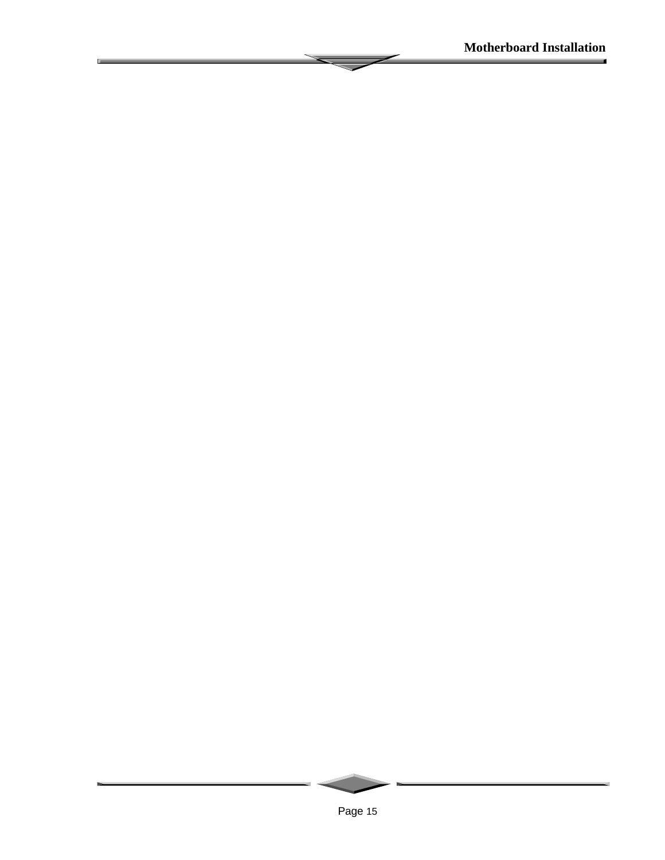$\overline{\phantom{0}}$ 

.<br>El

 $\overline{\phantom{0}}$ 

 $\mathbb{R}$ 



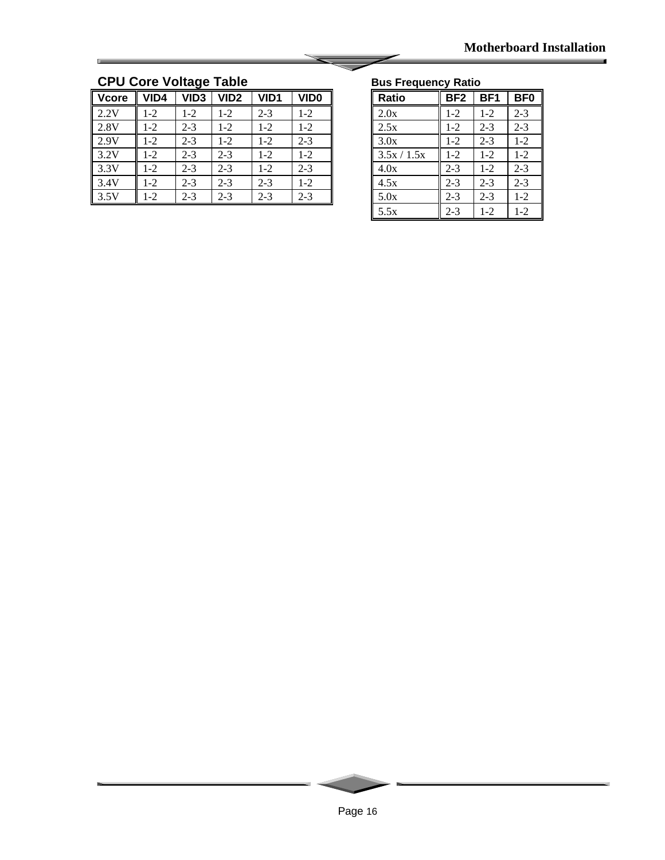the control of the control of



#### **CPU Core Voltage Table <b>Bus Frequency Ratio**

| <b>Vcore</b> | VID4    | VID <sub>3</sub> | VID <sub>2</sub> | VID1    | VID <sub>0</sub> | Ratio       | BF <sub>2</sub> | BF <sub>1</sub> | BF <sub>0</sub> |
|--------------|---------|------------------|------------------|---------|------------------|-------------|-----------------|-----------------|-----------------|
| 2.2V         | $1 - 2$ | $1-2$            | $1-2$            | $2 - 3$ | $1 - 2$          | 2.0x        | $1-2$           | $1-2$           | $2 - 3$         |
| 2.8V         | $1-2$   | $2 - 3$          | $1-2$            | $1 - 2$ | $1 - 2$          | 2.5x        | $1 - 2$         | $2 - 3$         | $2 - 3$         |
| 2.9V         | $1 - 2$ | $2 - 3$          | $1 - 2$          | $1-2$   | $2 - 3$          | 3.0x        | $1 - 2$         | $2 - 3$         | $1-2$           |
| 3.2V         | $1 - 2$ | $2 - 3$          | $2 - 3$          | $1 - 2$ | $1-2$            | 3.5x / 1.5x | $1 - 2$         | $1-2$           | $1 - 2$         |
| 3.3V         | $1 - 2$ | $2 - 3$          | $2 - 3$          | $1-2$   | $2 - 3$          | 4.0x        | $2 - 3$         | $1-2$           | $2 - 3$         |
| 3.4V         | $1-2$   | $2 - 3$          | $2 - 3$          | $2 - 3$ | $1 - 2$          | 4.5x        | $2 - 3$         | $2 - 3$         | $2 - 3$         |
| 3.5V         | $1 - 2$ | $2 - 3$          | $2 - 3$          | $2 - 3$ | $2 - 3$          | 5.0x        | $2 - 3$         | $2 - 3$         | $1-2$           |
|              |         |                  |                  |         |                  |             |                 |                 |                 |

| Ratio       | BF <sub>2</sub> | BF <sub>1</sub> | <b>BF0</b> |
|-------------|-----------------|-----------------|------------|
| 2.0x        | $1 - 2$         | $1 - 2$         | $2 - 3$    |
| 2.5x        | $1 - 2$         | $2 - 3$         | $2 - 3$    |
| 3.0x        | $1 - 2$         | $2 - 3$         | $1 - 2$    |
| 3.5x / 1.5x | $1 - 2$         | $1 - 2$         | $1 - 2$    |
| 4.0x        | $2 - 3$         | $1 - 2$         | $2 - 3$    |
| 4.5x        | $2 - 3$         | $2 - 3$         | $2 - 3$    |
| 5.0x        | $2 - 3$         | $2 - 3$         | $1 - 2$    |
| 5.5x        | $2 - 3$         | $1 - 2$         | $1 - 2$    |

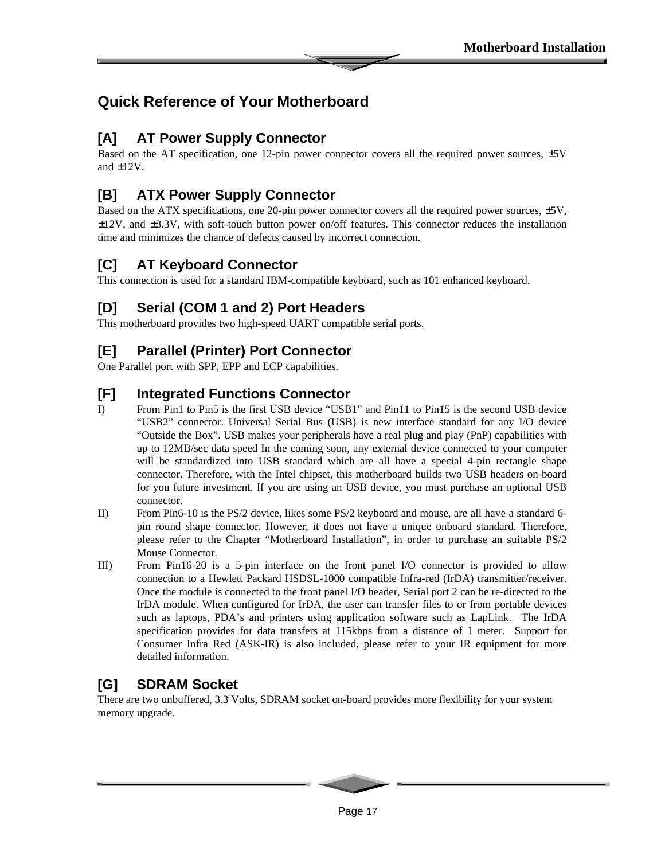### **Quick Reference of Your Motherboard**

#### **[A] AT Power Supply Connector**

Based on the AT specification, one 12-pin power connector covers all the required power sources, ±5V and ±12V.

#### **[B] ATX Power Supply Connector**

Based on the ATX specifications, one 20-pin power connector covers all the required power sources, ±5V, ±12V, and ±3.3V, with soft-touch button power on/off features. This connector reduces the installation time and minimizes the chance of defects caused by incorrect connection.

#### **[C] AT Keyboard Connector**

This connection is used for a standard IBM-compatible keyboard, such as 101 enhanced keyboard.

#### **[D] Serial (COM 1 and 2) Port Headers**

This motherboard provides two high-speed UART compatible serial ports.

#### **[E] Parallel (Printer) Port Connector**

One Parallel port with SPP, EPP and ECP capabilities.

#### **[F] Integrated Functions Connector**

- I) From Pin1 to Pin5 is the first USB device "USB1" and Pin11 to Pin15 is the second USB device "USB2" connector. Universal Serial Bus (USB) is new interface standard for any I/O device "Outside the Box". USB makes your peripherals have a real plug and play (PnP) capabilities with up to 12MB/sec data speed In the coming soon, any external device connected to your computer will be standardized into USB standard which are all have a special 4-pin rectangle shape connector. Therefore, with the Intel chipset, this motherboard builds two USB headers on-board for you future investment. If you are using an USB device, you must purchase an optional USB connector.
- II) From Pin6-10 is the PS/2 device, likes some PS/2 keyboard and mouse, are all have a standard 6 pin round shape connector. However, it does not have a unique onboard standard. Therefore, please refer to the Chapter "Motherboard Installation", in order to purchase an suitable PS/2 Mouse Connector.
- III) From Pin16-20 is a 5-pin interface on the front panel I/O connector is provided to allow connection to a Hewlett Packard HSDSL-1000 compatible Infra-red (IrDA) transmitter/receiver. Once the module is connected to the front panel I/O header, Serial port 2 can be re-directed to the IrDA module. When configured for IrDA, the user can transfer files to or from portable devices such as laptops, PDA's and printers using application software such as LapLink. The IrDA specification provides for data transfers at 115kbps from a distance of 1 meter. Support for Consumer Infra Red (ASK-IR) is also included, please refer to your IR equipment for more detailed information.

#### **[G] SDRAM Socket**

There are two unbuffered, 3.3 Volts, SDRAM socket on-board provides more flexibility for your system memory upgrade.

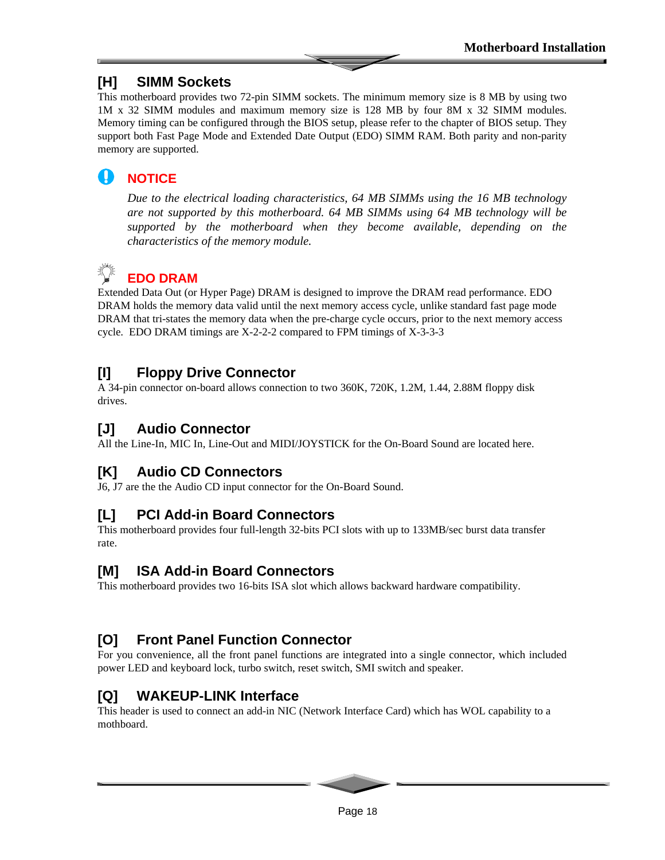#### **[H] SIMM Sockets**

This motherboard provides two 72-pin SIMM sockets. The minimum memory size is 8 MB by using two 1M x 32 SIMM modules and maximum memory size is 128 MB by four 8M x 32 SIMM modules. Memory timing can be configured through the BIOS setup, please refer to the chapter of BIOS setup. They support both Fast Page Mode and Extended Date Output (EDO) SIMM RAM. Both parity and non-parity memory are supported.



*Due to the electrical loading characteristics, 64 MB SIMMs using the 16 MB technology are not supported by this motherboard. 64 MB SIMMs using 64 MB technology will be supported by the motherboard when they become available, depending on the characteristics of the memory module.*

## **EDO DRAM**

Extended Data Out (or Hyper Page) DRAM is designed to improve the DRAM read performance. EDO DRAM holds the memory data valid until the next memory access cycle, unlike standard fast page mode DRAM that tri-states the memory data when the pre-charge cycle occurs, prior to the next memory access cycle. EDO DRAM timings are X-2-2-2 compared to FPM timings of X-3-3-3

#### **[I] Floppy Drive Connector**

A 34-pin connector on-board allows connection to two 360K, 720K, 1.2M, 1.44, 2.88M floppy disk drives.

#### **[J] Audio Connector**

All the Line-In, MIC In, Line-Out and MIDI/JOYSTICK for the On-Board Sound are located here.

### **[K] Audio CD Connectors**

J6, J7 are the the Audio CD input connector for the On-Board Sound.

### **[L] PCI Add-in Board Connectors**

This motherboard provides four full-length 32-bits PCI slots with up to 133MB/sec burst data transfer rate.

#### **[M] ISA Add-in Board Connectors**

This motherboard provides two 16-bits ISA slot which allows backward hardware compatibility.

### **[O] Front Panel Function Connector**

For you convenience, all the front panel functions are integrated into a single connector, which included power LED and keyboard lock, turbo switch, reset switch, SMI switch and speaker.

### **[Q] WAKEUP-LINK Interface**

This header is used to connect an add-in NIC (Network Interface Card) which has WOL capability to a mothboard.



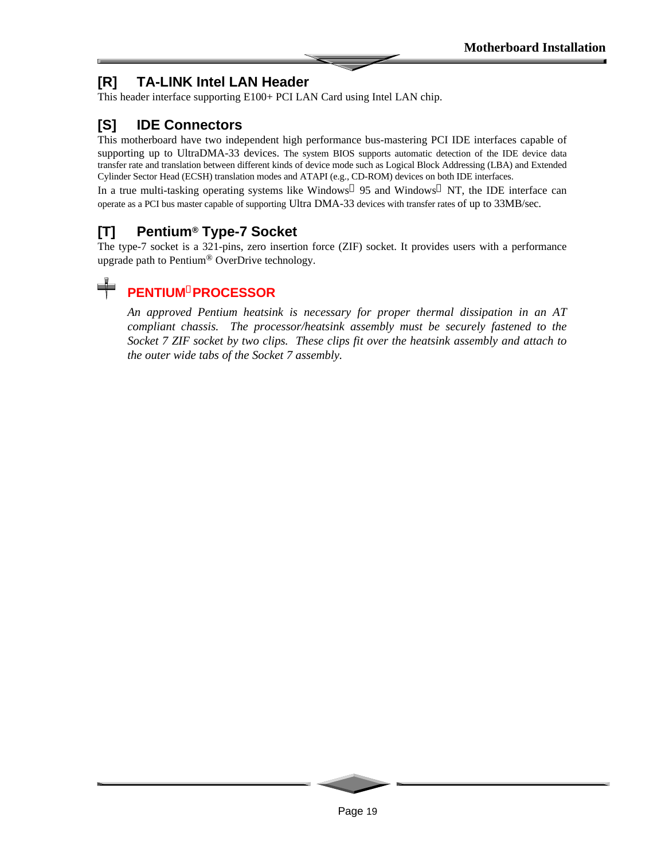### **[R] TA-LINK Intel LAN Header**

This header interface supporting E100+ PCI LAN Card using Intel LAN chip.

#### **[S] IDE Connectors**

This motherboard have two independent high performance bus-mastering PCI IDE interfaces capable of supporting up to UltraDMA-33 devices. The system BIOS supports automatic detection of the IDE device data transfer rate and translation between different kinds of device mode such as Logical Block Addressing (LBA) and Extended Cylinder Sector Head (ECSH) translation modes and ATAPI (e.g., CD-ROM) devices on both IDE interfaces.

In a true multi-tasking operating systems like Windows  $\mathscr{B}$  95 and Windows  $\mathscr{B}$  NT, the IDE interface can operate as a PCI bus master capable of supporting Ultra DMA-33 devices with transfer rates of up to 33MB/sec.

#### **[T] Pentium® Type-7 Socket**

The type-7 socket is a 321-pins, zero insertion force (ZIF) socket. It provides users with a performance upgrade path to Pentium® OverDrive technology.

#### ┿ **PENTIUMPROCESSOR**

*An approved Pentium heatsink is necessary for proper thermal dissipation in an AT compliant chassis. The processor/heatsink assembly must be securely fastened to the Socket 7 ZIF socket by two clips. These clips fit over the heatsink assembly and attach to the outer wide tabs of the Socket 7 assembly.*

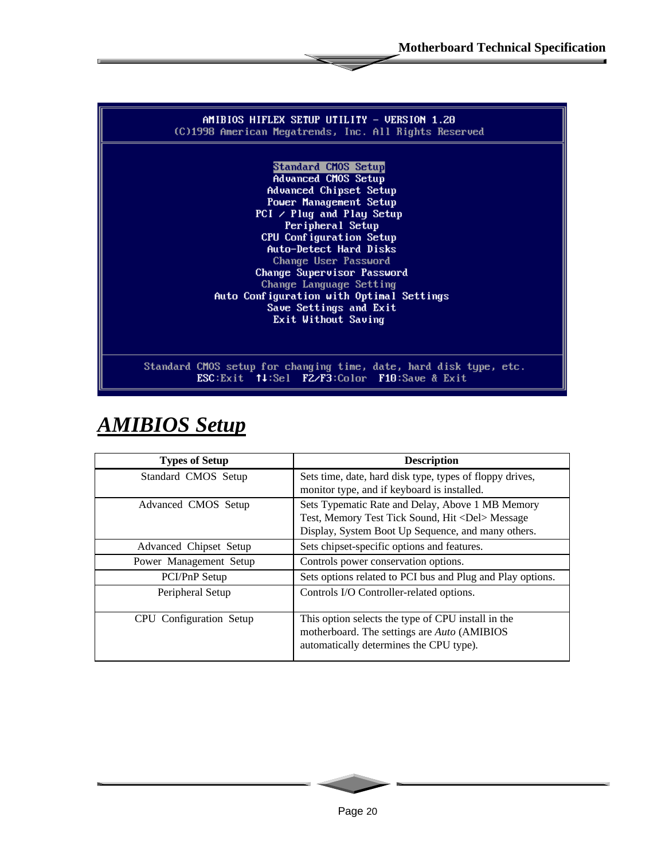#### AMIBIOS HIFLEX SETUP UTILITY - VERSION 1.20 (C)1998 American Megatrends, Inc. All Rights Reserved

**Standard CMOS Setup** Advanced CMOS Setup<br>Advanced Chipset Setup Power Management Setup PCI / Plug and Play Setup<br>Peripheral Setup CPU Configuration Setup Auto-Detect Hard Disks Change User Password Change Supervisor Password Change Language Setting Auto Configuration with Optimal Settings Save Settings and Exit Exit Without Saving

Standard CMOS setup for changing time, date, hard disk type, etc.<br>ESC:Exit fl:Sel FZ/F3:Color F10:Save & Exit

## *AMIBIOS Setup*

| <b>Types of Setup</b>   | <b>Description</b>                                                                                                                                              |
|-------------------------|-----------------------------------------------------------------------------------------------------------------------------------------------------------------|
| Standard CMOS Setup     | Sets time, date, hard disk type, types of floppy drives,<br>monitor type, and if keyboard is installed.                                                         |
| Advanced CMOS Setup     | Sets Typematic Rate and Delay, Above 1 MB Memory<br>Test, Memory Test Tick Sound, Hit <del>Message<br/>Display, System Boot Up Sequence, and many others.</del> |
| Advanced Chipset Setup  | Sets chipset-specific options and features.                                                                                                                     |
| Power Management Setup  | Controls power conservation options.                                                                                                                            |
| PCI/PnP Setup           | Sets options related to PCI bus and Plug and Play options.                                                                                                      |
| Peripheral Setup        | Controls I/O Controller-related options.                                                                                                                        |
| CPU Configuration Setup | This option selects the type of CPU install in the<br>motherboard. The settings are <i>Auto</i> (AMIBIOS<br>automatically determines the CPU type).             |

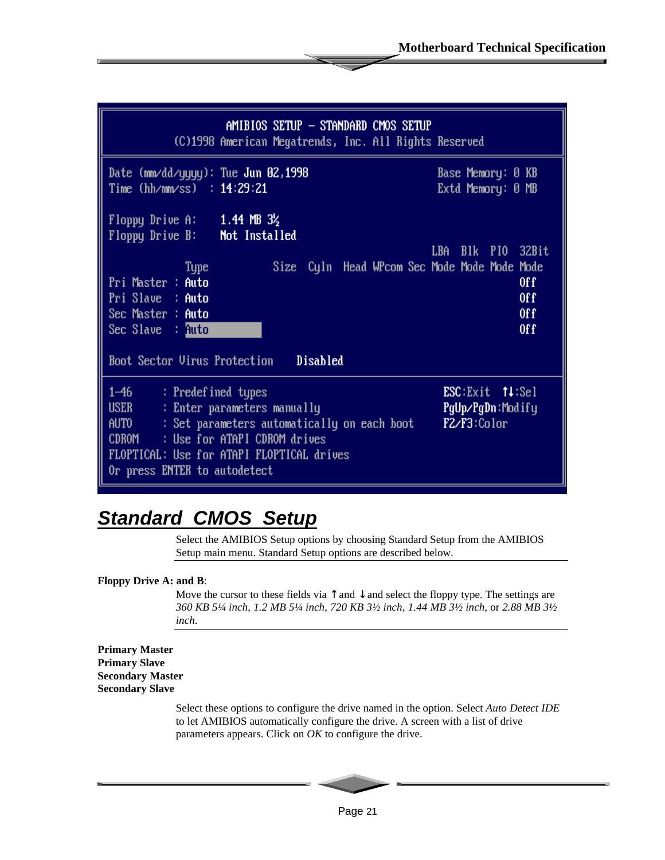| AMIBIOS SETUP — STANDARD CMOS SETUP<br>(C)1998 American Megatrends, Inc. All Rights Reserved                                                                                                                                                                                                                                                                  |                                                    |
|---------------------------------------------------------------------------------------------------------------------------------------------------------------------------------------------------------------------------------------------------------------------------------------------------------------------------------------------------------------|----------------------------------------------------|
| Date (mm/dd/yyyy): Tue Jun 02,1998<br>Time (hh/mm/ss) : 14:29:21                                                                                                                                                                                                                                                                                              | Base Memory: 0 KB<br>Extd Memory: 0 MB             |
| Floppy Drive A: $1.44$ MB $3\frac{1}{2}$<br>Floppy Drive B: Not Installed                                                                                                                                                                                                                                                                                     | LBA<br>Blk PIO 32Bit                               |
| Cyln Head WPcom Sec Mode Mode Mode Mode<br><b>Type</b><br>Size<br>Pri Master : Auto<br>Pri Slave : Auto<br>Sec Master : Auto<br>Sec Slave : futo<br><b>Boot Sector Virus Protection</b><br>Disabled                                                                                                                                                           | 0 <sup>f</sup><br>0ff<br>0 <sup>f</sup><br>0ff     |
| $1-46$<br>: Predefined types<br><b>USER</b><br>: Enter parameters manually<br>: Set parameters automatically on each boot<br>auto de la provincia de la provincia del provincia del provincia del provincia del provincia del pr<br>: Use for ATAPI CDROM drives<br><b>CDROM</b><br>FLOPTICAL: Use for ATAPI FLOPTICAL drives<br>Or press ENTER to autodetect | ESC:Exit 14:Sel<br>PgUp/PgDn:Modify<br>FZ/F3:Color |

## *Standard CMOS Setup*

Select the AMIBIOS Setup options by choosing Standard Setup from the AMIBIOS Setup main menu. Standard Setup options are described below.

#### **Floppy Drive A: and B**:

Move the cursor to these fields via  $\uparrow$  and  $\downarrow$  and select the floppy type. The settings are *360 KB 5¼ inch*, *1.2 MB 5¼ inch*, *720 KB 3½ inch*, *1.44 MB 3½ inch*, or *2.88 MB 3½ inch.*

**Primary Master Primary Slave Secondary Master Secondary Slave**

> Select these options to configure the drive named in the option. Select *Auto Detect IDE* to let AMIBIOS automatically configure the drive. A screen with a list of drive parameters appears. Click on *OK* to configure the drive.

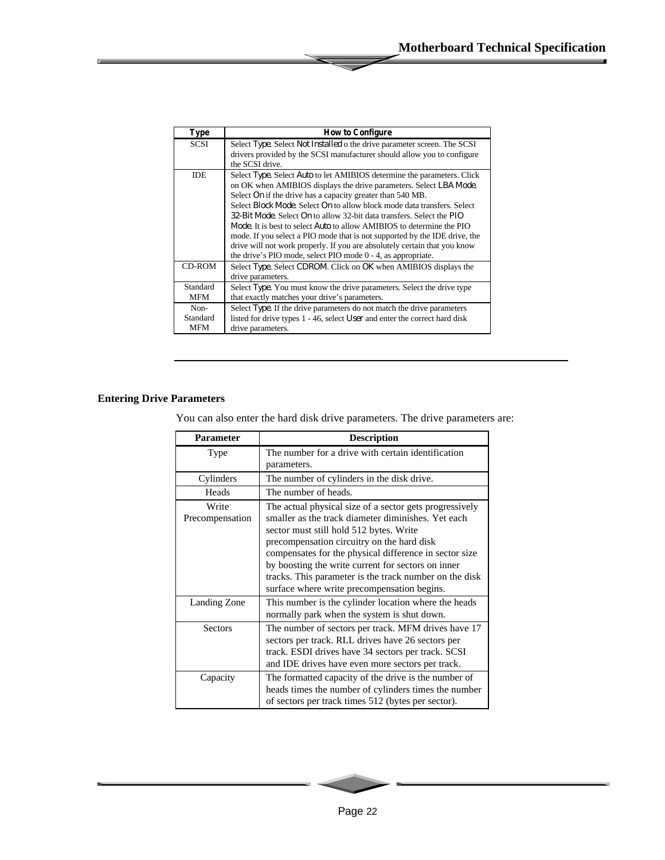$\blacksquare$ 

| <b>Type</b>             | <b>How to Configure</b>                                                                                                                                                                                                                                                                                                                                                                                                                                                                                                                                                                                                                                                                              |
|-------------------------|------------------------------------------------------------------------------------------------------------------------------------------------------------------------------------------------------------------------------------------------------------------------------------------------------------------------------------------------------------------------------------------------------------------------------------------------------------------------------------------------------------------------------------------------------------------------------------------------------------------------------------------------------------------------------------------------------|
| <b>SCSI</b>             | Select Type. Select Not Installed o the drive parameter screen. The SCSI<br>drivers provided by the SCSI manufacturer should allow you to configure<br>the SCSI drive.                                                                                                                                                                                                                                                                                                                                                                                                                                                                                                                               |
| <b>IDE</b>              | Select Type. Select Auto to let AMIBIOS determine the parameters. Click<br>on OK when AMIBIOS displays the drive parameters. Select LBA Mode.<br>Select <i>On</i> if the drive has a capacity greater than $540 \text{ MB}$ .<br>Select Block Mode. Select On to allow block mode data transfers. Select<br>32-Bit Mode. Select On to allow 32-bit data transfers. Select the PIO<br><i>Mode</i> . It is best to select <i>Auto</i> to allow AMIBIOS to determine the PIO<br>mode. If you select a PIO mode that is not supported by the IDE drive, the<br>drive will not work properly. If you are absolutely certain that you know<br>the drive's PIO mode, select PIO mode 0 - 4, as appropriate. |
| CD-ROM                  | Select Type. Select CDROM. Click on OK when AMIBIOS displays the<br>drive parameters.                                                                                                                                                                                                                                                                                                                                                                                                                                                                                                                                                                                                                |
| Standard<br>MFM         | Select Type. You must know the drive parameters. Select the drive type<br>that exactly matches your drive's parameters.                                                                                                                                                                                                                                                                                                                                                                                                                                                                                                                                                                              |
| Non-<br>Standard<br>MFM | Select <i>Type</i> . If the drive parameters do not match the drive parameters<br>listed for drive types 1 - 46, select <i>User</i> and enter the correct hard disk<br>drive parameters.                                                                                                                                                                                                                                                                                                                                                                                                                                                                                                             |

#### **Entering Drive Parameters**

ū

You can also enter the hard disk drive parameters. The drive parameters are:

| <b>Parameter</b>         | <b>Description</b>                                                                                                                                                                                                                                                                                                                                                                                                              |
|--------------------------|---------------------------------------------------------------------------------------------------------------------------------------------------------------------------------------------------------------------------------------------------------------------------------------------------------------------------------------------------------------------------------------------------------------------------------|
| Type                     | The number for a drive with certain identification<br>parameters.                                                                                                                                                                                                                                                                                                                                                               |
| Cylinders                | The number of cylinders in the disk drive.                                                                                                                                                                                                                                                                                                                                                                                      |
| Heads                    | The number of heads.                                                                                                                                                                                                                                                                                                                                                                                                            |
| Write<br>Precompensation | The actual physical size of a sector gets progressively<br>smaller as the track diameter diminishes. Yet each<br>sector must still hold 512 bytes. Write<br>precompensation circuitry on the hard disk<br>compensates for the physical difference in sector size<br>by boosting the write current for sectors on inner<br>tracks. This parameter is the track number on the disk<br>surface where write precompensation begins. |
| Landing Zone             | This number is the cylinder location where the heads<br>normally park when the system is shut down.                                                                                                                                                                                                                                                                                                                             |
| <b>Sectors</b>           | The number of sectors per track. MFM drives have 17<br>sectors per track. RLL drives have 26 sectors per<br>track. ESDI drives have 34 sectors per track. SCSI<br>and IDE drives have even more sectors per track.                                                                                                                                                                                                              |
| Capacity                 | The formatted capacity of the drive is the number of<br>heads times the number of cylinders times the number<br>of sectors per track times 512 (bytes per sector).                                                                                                                                                                                                                                                              |

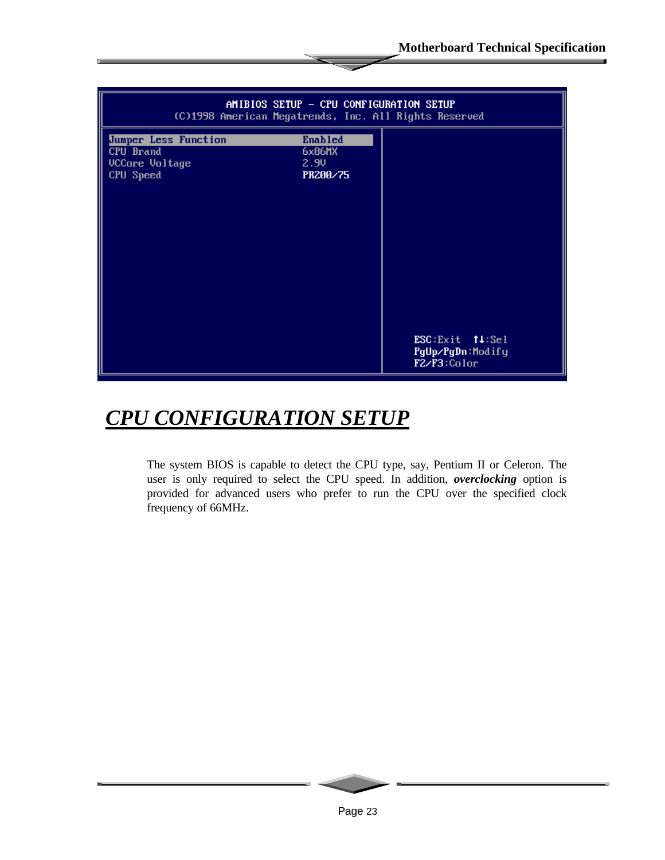

## *CPU CONFIGURATION SETUP*

The system BIOS is capable to detect the CPU type, say, Pentium II or Celeron. The user is only required to select the CPU speed. In addition, *overclocking* option is provided for advanced users who prefer to run the CPU over the specified clock frequency of 66MHz.

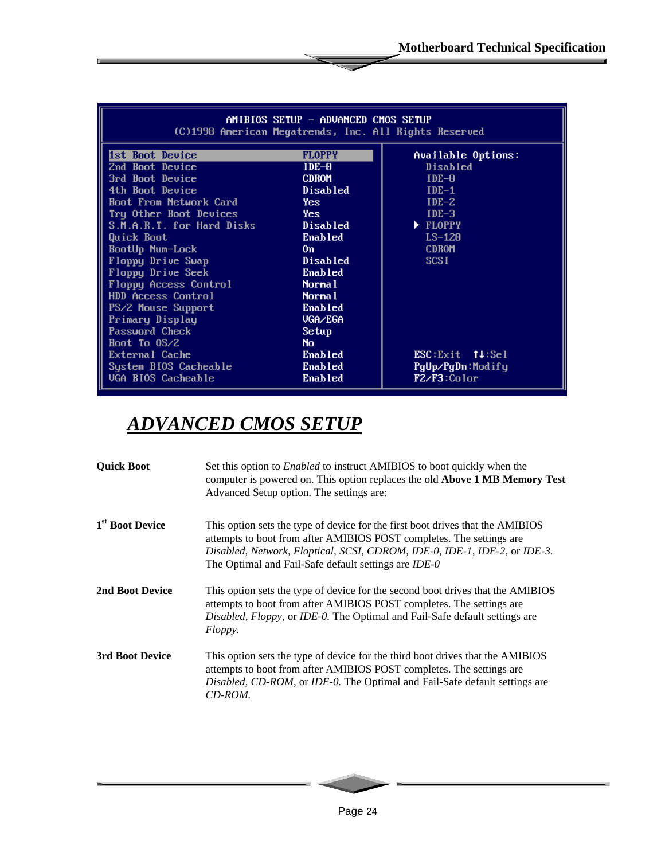$\overline{\phantom{0}}$ 

| AMIBIOS SETUP - ADVANCED CMOS SETUP<br>(C)1998 American Megatrends, Inc. All Rights Reserved                                                                                                                                                                                                                                                                 |                                                                                                                                                                                                          |                                                                                                                                                              |
|--------------------------------------------------------------------------------------------------------------------------------------------------------------------------------------------------------------------------------------------------------------------------------------------------------------------------------------------------------------|----------------------------------------------------------------------------------------------------------------------------------------------------------------------------------------------------------|--------------------------------------------------------------------------------------------------------------------------------------------------------------|
| 1st Boot Device<br>2nd Boot Device<br>3rd Boot Device<br>4th Boot Device<br>Boot From Network Card<br>Try Other Boot Devices<br>S.M.A.R.T. for Hard Disks<br>Quick Boot<br><b>BootUp Num-Lock</b><br>Floppy Drive Swap<br>Floppy Drive Seek<br>Floppy Access Control<br>HDD Access Control<br>PS/2 Mouse Support<br>Primary Display<br><b>Password Check</b> | <b>FLOPPY</b><br>$IDE-0$<br><b>CDROM</b><br>Disabled<br>Yes.<br>Yes:<br>Disabled<br><b>Enabled</b><br>0n.<br>Disabled<br>Enabled<br>Normal<br><b>Normal</b><br><b>Enabled</b><br><b>UGA∠EGA</b><br>Setup | Available Options:<br><b>Disabled</b><br>$IDE-0$<br>$IDE-1$<br>$IDE-2$<br>$IDE-3$<br>$\blacktriangleright$ FLOPPY<br>$LS-120$<br><b>CDROM</b><br><b>SCSI</b> |
| Boot To 0S/2<br>External Cache<br>System BIOS Cacheable<br><b>VGA BIOS Cacheable</b>                                                                                                                                                                                                                                                                         | No.<br>Enabled<br>Enabled<br><b>Enabled</b>                                                                                                                                                              | $ESC: Exit$ $11:Sel$<br>PgUp/PgDn:Modify<br>F2/F3:Color                                                                                                      |

## *ADVANCED CMOS SETUP*

匝

| <b>Quick Boot</b>           | Set this option to <i>Enabled</i> to instruct AMIBIOS to boot quickly when the<br>computer is powered on. This option replaces the old Above 1 MB Memory Test<br>Advanced Setup option. The settings are:                                                                                   |
|-----------------------------|---------------------------------------------------------------------------------------------------------------------------------------------------------------------------------------------------------------------------------------------------------------------------------------------|
| 1 <sup>st</sup> Boot Device | This option sets the type of device for the first boot drives that the AMIBIOS<br>attempts to boot from after AMIBIOS POST completes. The settings are<br>Disabled, Network, Floptical, SCSI, CDROM, IDE-0, IDE-1, IDE-2, or IDE-3.<br>The Optimal and Fail-Safe default settings are IDE-0 |
| 2nd Boot Device             | This option sets the type of device for the second boot drives that the AMIBIOS<br>attempts to boot from after AMIBIOS POST completes. The settings are<br>Disabled, Floppy, or IDE-0. The Optimal and Fail-Safe default settings are<br><i>Floppy.</i>                                     |
| 3rd Boot Device             | This option sets the type of device for the third boot drives that the AMIBIOS<br>attempts to boot from after AMIBIOS POST completes. The settings are<br>Disabled, CD-ROM, or IDE-0. The Optimal and Fail-Safe default settings are<br>$CD$ -ROM.                                          |

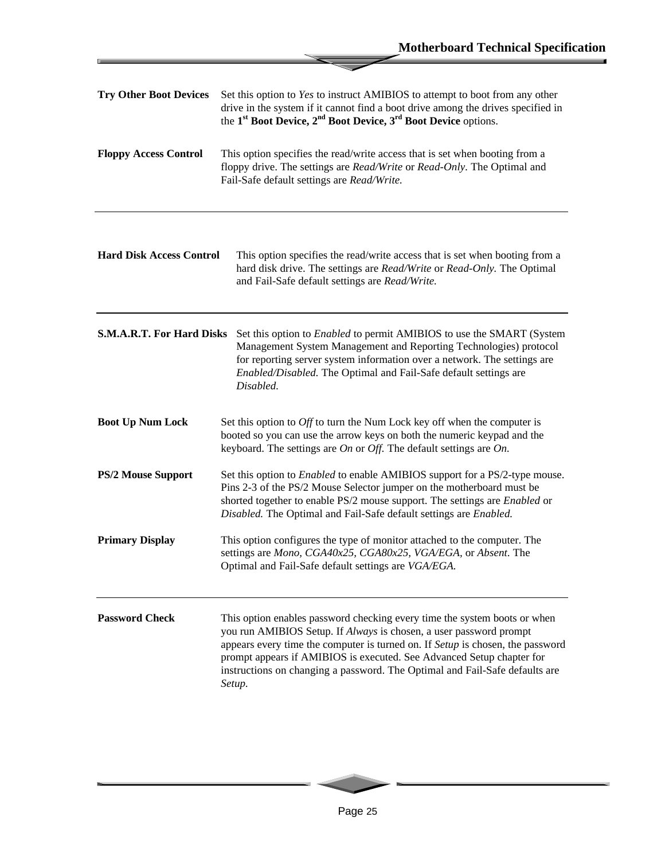| <b>Try Other Boot Devices</b>    | Set this option to Yes to instruct AMIBIOS to attempt to boot from any other<br>drive in the system if it cannot find a boot drive among the drives specified in<br>the 1 <sup>st</sup> Boot Device, 2 <sup>nd</sup> Boot Device, 3 <sup>rd</sup> Boot Device options.                                                                                                                              |
|----------------------------------|-----------------------------------------------------------------------------------------------------------------------------------------------------------------------------------------------------------------------------------------------------------------------------------------------------------------------------------------------------------------------------------------------------|
| <b>Floppy Access Control</b>     | This option specifies the read/write access that is set when booting from a<br>floppy drive. The settings are Read/Write or Read-Only. The Optimal and<br>Fail-Safe default settings are Read/Write.                                                                                                                                                                                                |
| <b>Hard Disk Access Control</b>  | This option specifies the read/write access that is set when booting from a<br>hard disk drive. The settings are Read/Write or Read-Only. The Optimal<br>and Fail-Safe default settings are Read/Write.                                                                                                                                                                                             |
| <b>S.M.A.R.T. For Hard Disks</b> | Set this option to <i>Enabled</i> to permit AMIBIOS to use the SMART (System<br>Management System Management and Reporting Technologies) protocol<br>for reporting server system information over a network. The settings are<br>Enabled/Disabled. The Optimal and Fail-Safe default settings are<br>Disabled.                                                                                      |
| <b>Boot Up Num Lock</b>          | Set this option to $Off$ to turn the Num Lock key off when the computer is<br>booted so you can use the arrow keys on both the numeric keypad and the<br>keyboard. The settings are $On$ or Off. The default settings are On.                                                                                                                                                                       |
| <b>PS/2 Mouse Support</b>        | Set this option to <i>Enabled</i> to enable AMIBIOS support for a PS/2-type mouse.<br>Pins 2-3 of the PS/2 Mouse Selector jumper on the motherboard must be<br>shorted together to enable PS/2 mouse support. The settings are Enabled or<br>Disabled. The Optimal and Fail-Safe default settings are Enabled.                                                                                      |
| <b>Primary Display</b>           | This option configures the type of monitor attached to the computer. The<br>settings are Mono, CGA40x25, CGA80x25, VGA/EGA, or Absent. The<br>Optimal and Fail-Safe default settings are VGA/EGA.                                                                                                                                                                                                   |
| <b>Password Check</b>            | This option enables password checking every time the system boots or when<br>you run AMIBIOS Setup. If Always is chosen, a user password prompt<br>appears every time the computer is turned on. If Setup is chosen, the password<br>prompt appears if AMIBIOS is executed. See Advanced Setup chapter for<br>instructions on changing a password. The Optimal and Fail-Safe defaults are<br>Setup. |

Ū.

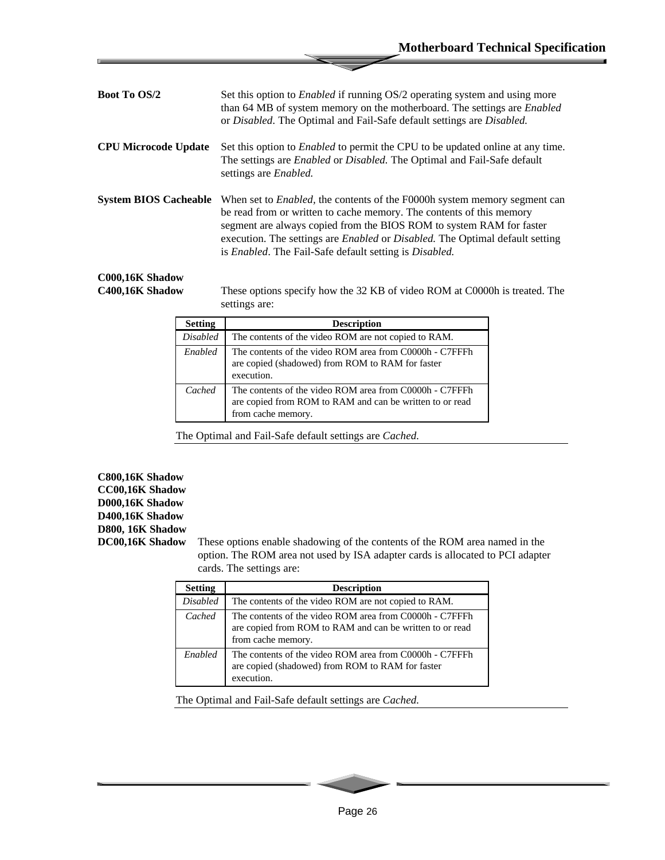| <b>Boot To OS/2</b>          | Set this option to <i>Enabled</i> if running OS/2 operating system and using more<br>than 64 MB of system memory on the motherboard. The settings are <i>Enabled</i><br>or Disabled. The Optimal and Fail-Safe default settings are Disabled.                                                                                                                                                              |
|------------------------------|------------------------------------------------------------------------------------------------------------------------------------------------------------------------------------------------------------------------------------------------------------------------------------------------------------------------------------------------------------------------------------------------------------|
| <b>CPU Microcode Update</b>  | Set this option to <i>Enabled</i> to permit the CPU to be updated online at any time.<br>The settings are <i>Enabled</i> or <i>Disabled</i> . The Optimal and Fail-Safe default<br>settings are <i>Enabled</i> .                                                                                                                                                                                           |
| <b>System BIOS Cacheable</b> | When set to <i>Enabled</i> , the contents of the F0000h system memory segment can<br>be read from or written to cache memory. The contents of this memory<br>segment are always copied from the BIOS ROM to system RAM for faster<br>execution. The settings are <i>Enabled</i> or <i>Disabled</i> . The Optimal default setting<br>is <i>Enabled</i> . The Fail-Safe default setting is <i>Disabled</i> . |

## **C000,16K Shadow**

**C400,16K Shadow** These options specify how the 32 KB of video ROM at C0000h is treated. The settings are:

| <b>Setting</b>  | <b>Description</b>                                                                                                                        |
|-----------------|-------------------------------------------------------------------------------------------------------------------------------------------|
| <b>Disabled</b> | The contents of the video ROM are not copied to RAM.                                                                                      |
| Enabled         | The contents of the video ROM area from C0000h - C7FFFh<br>are copied (shadowed) from ROM to RAM for faster<br>execution.                 |
| Cached          | The contents of the video ROM area from C0000h - C7FFFh<br>are copied from ROM to RAM and can be written to or read<br>from cache memory. |

The Optimal and Fail-Safe default settings are *Cached.*

**C800,16K Shadow CC00,16K Shadow D000,16K Shadow D400,16K Shadow D800, 16K Shadow**

**DC00,16K Shadow** These options enable shadowing of the contents of the ROM area named in the option. The ROM area not used by ISA adapter cards is allocated to PCI adapter cards. The settings are:

| <b>Setting</b>  | <b>Description</b>                                                                                                                        |
|-----------------|-------------------------------------------------------------------------------------------------------------------------------------------|
| <b>Disabled</b> | The contents of the video ROM are not copied to RAM.                                                                                      |
| Cached          | The contents of the video ROM area from C0000h - C7FFFh<br>are copied from ROM to RAM and can be written to or read<br>from cache memory. |
| Enabled         | The contents of the video ROM area from C0000h - C7FFFh<br>are copied (shadowed) from ROM to RAM for faster<br>execution.                 |

The Optimal and Fail-Safe default settings are *Cached.*

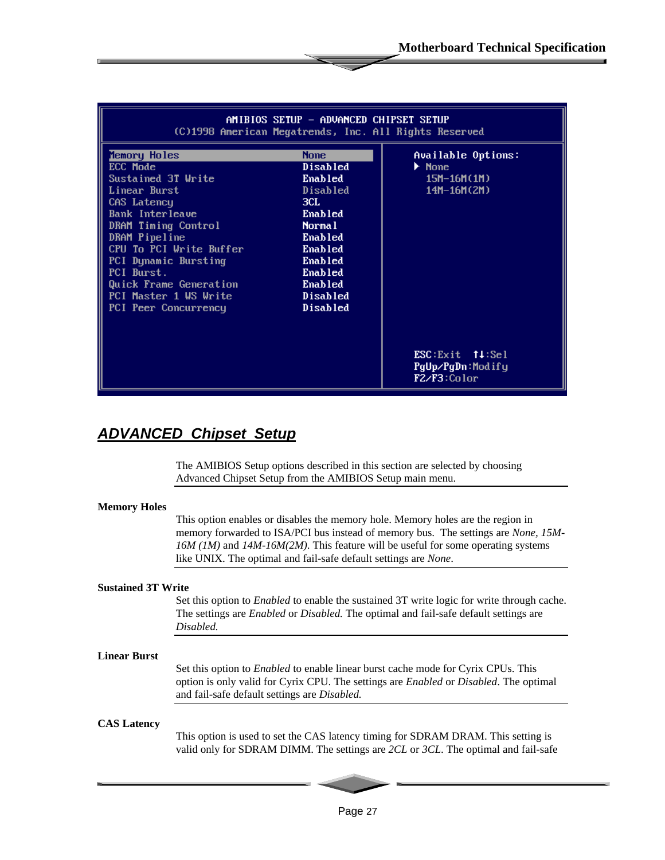$\overline{\phantom{a}}$ 

×.

|                                                                                                                                                                                                                                                                                                    | AMIBIOS SETUP - ADVANCED CHIPSET SETUP<br>(C)1998 American Megatrends, Inc. All Rights Reserved                                                                  |                                                                                    |
|----------------------------------------------------------------------------------------------------------------------------------------------------------------------------------------------------------------------------------------------------------------------------------------------------|------------------------------------------------------------------------------------------------------------------------------------------------------------------|------------------------------------------------------------------------------------|
| Memory Holes<br>ECC Mode<br>Sustained 3T Write<br>Linear Burst<br>CAS Latency<br><b>Bank Interleave</b><br>DRAM Timing Control<br>DRAM Pipeline<br>CPU To PCI Write Buffer<br><b>PCI Dynamic Bursting</b><br>PCI Burst.<br>Quick Frame Generation<br>PCI Master 1 WS Write<br>PCI Peer Concurrency | <b>None</b><br>Disabled<br>Enabled<br>Disabled<br>3CL<br>Enabled<br>Normal<br>Enabled<br>Enabled<br>Enabled<br>Enabled<br>Enabled<br>Disabled<br><b>Disabled</b> | Available Options:<br>$\blacktriangleright$ None<br>$15M-16M(1M)$<br>$14M-16M(2M)$ |
|                                                                                                                                                                                                                                                                                                    |                                                                                                                                                                  | $ESC: Exit$ $11:Se1$<br>PgUp/PgDn:Modify<br>F2/F3:Color                            |

## *ADVANCED Chipset Setup*

П

The AMIBIOS Setup options described in this section are selected by choosing Advanced Chipset Setup from the AMIBIOS Setup main menu.

| <b>Memory Holes</b>       | This option enables or disables the memory hole. Memory holes are the region in<br>memory forwarded to ISA/PCI bus instead of memory bus. The settings are <i>None</i> , 15M-<br>$16M$ (1M) and $14M-16M(2M)$ . This feature will be useful for some operating systems<br>like UNIX. The optimal and fail-safe default settings are <i>None</i> . |
|---------------------------|---------------------------------------------------------------------------------------------------------------------------------------------------------------------------------------------------------------------------------------------------------------------------------------------------------------------------------------------------|
| <b>Sustained 3T Write</b> |                                                                                                                                                                                                                                                                                                                                                   |
|                           | Set this option to <i>Enabled</i> to enable the sustained 3T write logic for write through cache.<br>The settings are <i>Enabled</i> or <i>Disabled</i> . The optimal and fail-safe default settings are<br>Disabled.                                                                                                                             |
| <b>Linear Burst</b>       |                                                                                                                                                                                                                                                                                                                                                   |
|                           | Set this option to <i>Enabled</i> to enable linear burst cache mode for Cyrix CPUs. This<br>option is only valid for Cyrix CPU. The settings are <i>Enabled</i> or <i>Disabled</i> . The optimal<br>and fail-safe default settings are Disabled.                                                                                                  |
| <b>CAS Latency</b>        |                                                                                                                                                                                                                                                                                                                                                   |
|                           | This option is used to set the CAS latency timing for SDRAM DRAM. This setting is<br>valid only for SDRAM DIMM. The settings are $2CL$ or $3CL$ . The optimal and fail-safe                                                                                                                                                                       |
|                           |                                                                                                                                                                                                                                                                                                                                                   |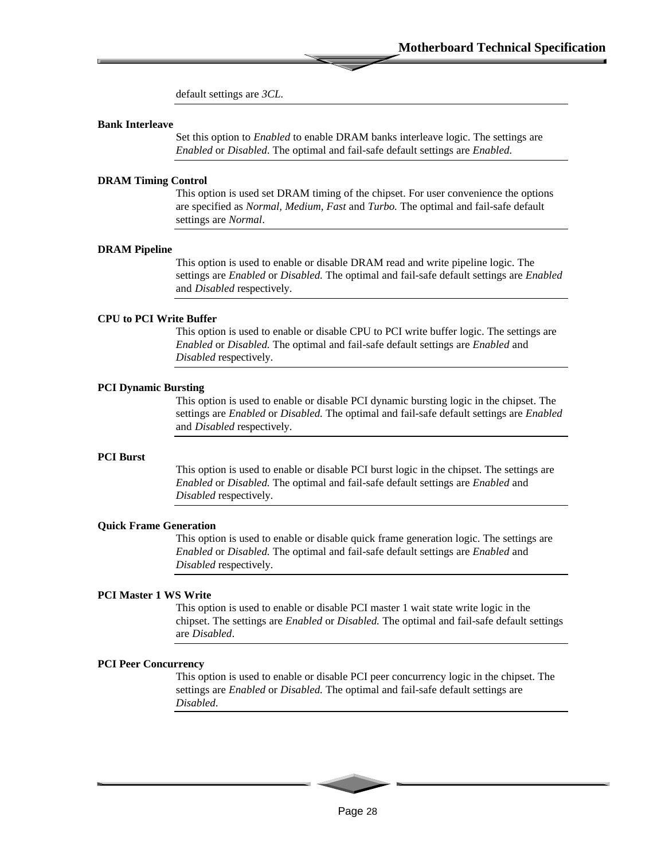default settings are *3CL.*

#### **Bank Interleave**

Set this option to *Enabled* to enable DRAM banks interleave logic. The settings are *Enabled* or *Disabled*. The optimal and fail-safe default settings are *Enabled.*

#### **DRAM Timing Control**

This option is used set DRAM timing of the chipset. For user convenience the options are specified as *Normal, Medium, Fast* and *Turbo.* The optimal and fail-safe default settings are *Normal*.

#### **DRAM Pipeline**

This option is used to enable or disable DRAM read and write pipeline logic. The settings are *Enabled* or *Disabled.* The optimal and fail-safe default settings are *Enabled* and *Disabled* respectively.

#### **CPU to PCI Write Buffer**

This option is used to enable or disable CPU to PCI write buffer logic. The settings are *Enabled* or *Disabled.* The optimal and fail-safe default settings are *Enabled* and *Disabled* respectively.

#### **PCI Dynamic Bursting**

This option is used to enable or disable PCI dynamic bursting logic in the chipset. The settings are *Enabled* or *Disabled.* The optimal and fail-safe default settings are *Enabled* and *Disabled* respectively.

#### **PCI Burst**

This option is used to enable or disable PCI burst logic in the chipset. The settings are *Enabled* or *Disabled.* The optimal and fail-safe default settings are *Enabled* and *Disabled* respectively.

#### **Quick Frame Generation**

This option is used to enable or disable quick frame generation logic. The settings are *Enabled* or *Disabled.* The optimal and fail-safe default settings are *Enabled* and *Disabled* respectively.

#### **PCI Master 1 WS Write**

This option is used to enable or disable PCI master 1 wait state write logic in the chipset. The settings are *Enabled* or *Disabled.* The optimal and fail-safe default settings are *Disabled*.

#### **PCI Peer Concurrency**

This option is used to enable or disable PCI peer concurrency logic in the chipset. The settings are *Enabled* or *Disabled.* The optimal and fail-safe default settings are *Disabled*.



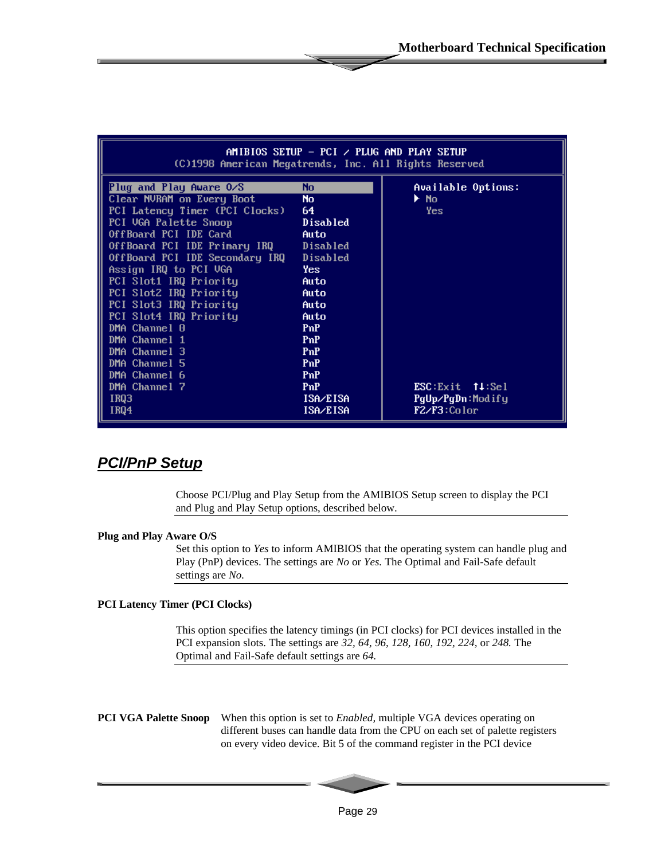| Plug and Play Aware 0∕S<br>Available Options:<br>No                                                                                                                                                                                                                                                                                                                                                                                                                                                                                                                                                                                                                                                                                               |  |
|---------------------------------------------------------------------------------------------------------------------------------------------------------------------------------------------------------------------------------------------------------------------------------------------------------------------------------------------------------------------------------------------------------------------------------------------------------------------------------------------------------------------------------------------------------------------------------------------------------------------------------------------------------------------------------------------------------------------------------------------------|--|
| Clear NVRAM on Every Boot<br>No.<br>$\blacktriangleright$ No<br>PCI Latency Timer (PCI Clocks)<br>64<br><b>Yes</b><br>PCI UGA Palette Snoop<br><b>Disabled</b><br>OffBoard PCI IDE Card<br>Auto<br>OffBoard PCI IDE Primary IRQ<br>Disabled<br>OffBoard PCI IDE Secondary IRQ<br>Disabled<br>Assign IRQ to PCI VGA<br>Yes:<br>PCI Slot1 IRQ Priority<br>Auto<br>PCI Slot2 IRQ Priority<br>Auto<br>PCI Slot3 IRQ Priority<br>Auto<br>PCI Slot4 IRQ Priority<br>Auto<br>DMA Channel 0<br><b>PnP</b><br>DMA Channel 1<br>PnP<br>DMA Channel 3<br>PnP<br><b>PnP</b><br>DMA Channel 5<br>DMA Channel 6<br>PnP<br>DMA Channel 7<br>PnP<br>$ESC: Exit$ $11:Se1$<br><b>IRQ3</b><br>ISA∕EISA<br>PgUp/PgDn:Modify<br>F2/F3:Color<br>ISA/EISA<br><b>IRQ4</b> |  |

#### *PCI/PnP Setup*

Choose PCI/Plug and Play Setup from the AMIBIOS Setup screen to display the PCI and Plug and Play Setup options, described below.

#### **Plug and Play Aware O/S**

Set this option to *Yes* to inform AMIBIOS that the operating system can handle plug and Play (PnP) devices. The settings are *No* or *Yes.* The Optimal and Fail-Safe default settings are *No.*

#### **PCI Latency Timer (PCI Clocks)**

This option specifies the latency timings (in PCI clocks) for PCI devices installed in the PCI expansion slots. The settings are *32, 64, 96, 128, 160, 192, 224,* or *248.* The Optimal and Fail-Safe default settings are *64.*

**PCI VGA Palette Snoop** When this option is set to *Enabled,* multiple VGA devices operating on different buses can handle data from the CPU on each set of palette registers on every video device. Bit 5 of the command register in the PCI device



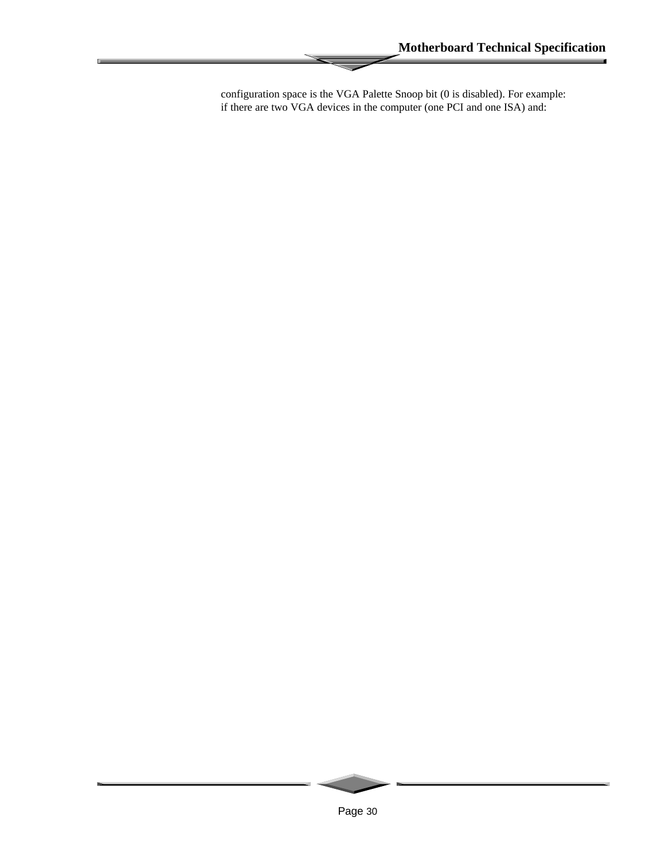configuration space is the VGA Palette Snoop bit (0 is disabled). For example: if there are two VGA devices in the computer (one PCI and one ISA) and:

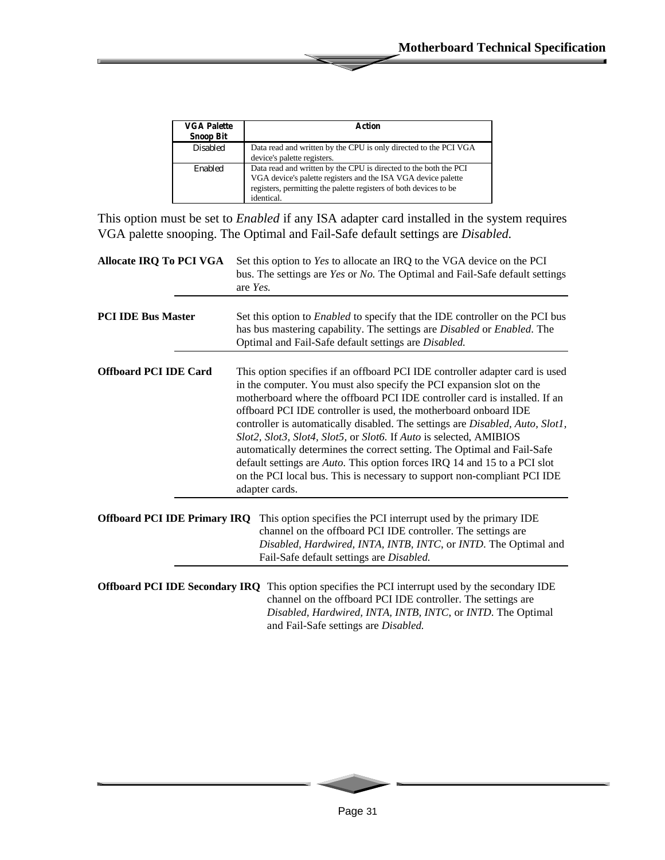| <b>VGA Palette</b> | Action                                                            |
|--------------------|-------------------------------------------------------------------|
| <b>Snoop Bit</b>   |                                                                   |
| <b>Disabled</b>    | Data read and written by the CPU is only directed to the PCI VGA  |
|                    | device's palette registers.                                       |
| Enabled            | Data read and written by the CPU is directed to the both the PCI  |
|                    | VGA device's palette registers and the ISA VGA device palette     |
|                    | registers, permitting the palette registers of both devices to be |
|                    | identical.                                                        |

This option must be set to *Enabled* if any ISA adapter card installed in the system requires VGA palette snooping. The Optimal and Fail-Safe default settings are *Disabled.*

| <b>Allocate IRQ To PCI VGA</b>      | Set this option to Yes to allocate an IRQ to the VGA device on the PCI<br>bus. The settings are Yes or No. The Optimal and Fail-Safe default settings<br>are Yes.                                                                                                                                                                                                                                                                                                                                                                                                                                                                                                                                                                           |
|-------------------------------------|---------------------------------------------------------------------------------------------------------------------------------------------------------------------------------------------------------------------------------------------------------------------------------------------------------------------------------------------------------------------------------------------------------------------------------------------------------------------------------------------------------------------------------------------------------------------------------------------------------------------------------------------------------------------------------------------------------------------------------------------|
| <b>PCI IDE Bus Master</b>           | Set this option to <i>Enabled</i> to specify that the IDE controller on the PCI bus<br>has bus mastering capability. The settings are Disabled or Enabled. The<br>Optimal and Fail-Safe default settings are Disabled.                                                                                                                                                                                                                                                                                                                                                                                                                                                                                                                      |
| <b>Offboard PCI IDE Card</b>        | This option specifies if an offboard PCI IDE controller adapter card is used<br>in the computer. You must also specify the PCI expansion slot on the<br>motherboard where the offboard PCI IDE controller card is installed. If an<br>offboard PCI IDE controller is used, the motherboard onboard IDE<br>controller is automatically disabled. The settings are <i>Disabled</i> , <i>Auto</i> , <i>Slot1</i> ,<br>Slot2, Slot3, Slot4, Slot5, or Slot6. If Auto is selected, AMIBIOS<br>automatically determines the correct setting. The Optimal and Fail-Safe<br>default settings are Auto. This option forces IRQ 14 and 15 to a PCI slot<br>on the PCI local bus. This is necessary to support non-compliant PCI IDE<br>adapter cards. |
| <b>Offboard PCI IDE Primary IRQ</b> | This option specifies the PCI interrupt used by the primary IDE<br>channel on the offboard PCI IDE controller. The settings are<br>Disabled, Hardwired, INTA, INTB, INTC, or INTD. The Optimal and<br>Fail-Safe default settings are Disabled.                                                                                                                                                                                                                                                                                                                                                                                                                                                                                              |
|                                     | <b>Offboard PCI IDE Secondary IRQ</b> This option specifies the PCI interrupt used by the secondary IDE<br>channel on the offboard PCI IDE controller. The settings are<br>Disabled, Hardwired, INTA, INTB, INTC, or INTD. The Optimal<br>and Fail-Safe settings are Disabled.                                                                                                                                                                                                                                                                                                                                                                                                                                                              |

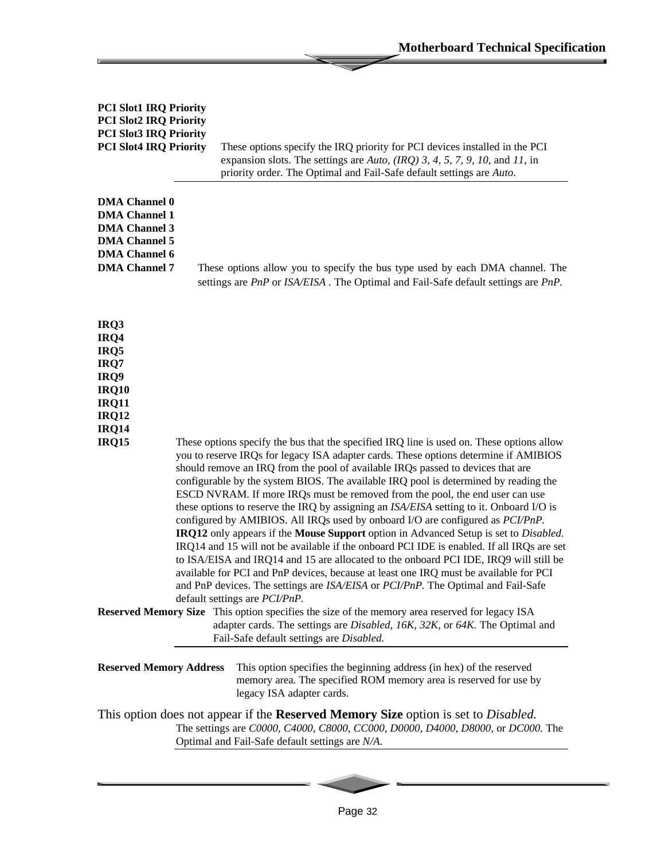| <b>PCI Slot1 IRQ Priority</b><br><b>PCI Slot2 IRQ Priority</b><br><b>PCI Slot3 IRQ Priority</b><br><b>PCI Slot4 IRQ Priority</b>             | These options specify the IRQ priority for PCI devices installed in the PCI<br>expansion slots. The settings are Auto, $(IRQ)$ 3, 4, 5, 7, 9, 10, and 11, in<br>priority order. The Optimal and Fail-Safe default settings are Auto.                                                                                                                                                                                                                                                                                                                                                                                                                                                                                                                                                                                                                                                                                                                                                                                                                                                                                                                |
|----------------------------------------------------------------------------------------------------------------------------------------------|-----------------------------------------------------------------------------------------------------------------------------------------------------------------------------------------------------------------------------------------------------------------------------------------------------------------------------------------------------------------------------------------------------------------------------------------------------------------------------------------------------------------------------------------------------------------------------------------------------------------------------------------------------------------------------------------------------------------------------------------------------------------------------------------------------------------------------------------------------------------------------------------------------------------------------------------------------------------------------------------------------------------------------------------------------------------------------------------------------------------------------------------------------|
| <b>DMA Channel 0</b><br><b>DMA Channel 1</b><br><b>DMA Channel 3</b><br><b>DMA Channel 5</b><br><b>DMA</b> Channel 6<br><b>DMA Channel 7</b> | These options allow you to specify the bus type used by each DMA channel. The<br>settings are PnP or ISA/EISA. The Optimal and Fail-Safe default settings are PnP.                                                                                                                                                                                                                                                                                                                                                                                                                                                                                                                                                                                                                                                                                                                                                                                                                                                                                                                                                                                  |
| IRQ3<br>IRQ4<br>IRQ5<br>IRQ7<br>IRQ9<br><b>IRQ10</b><br><b>IRQ11</b><br><b>IRQ12</b><br><b>IRQ14</b>                                         |                                                                                                                                                                                                                                                                                                                                                                                                                                                                                                                                                                                                                                                                                                                                                                                                                                                                                                                                                                                                                                                                                                                                                     |
| <b>IRQ15</b>                                                                                                                                 | These options specify the bus that the specified IRQ line is used on. These options allow<br>you to reserve IRQs for legacy ISA adapter cards. These options determine if AMIBIOS<br>should remove an IRQ from the pool of available IRQs passed to devices that are<br>configurable by the system BIOS. The available IRQ pool is determined by reading the<br>ESCD NVRAM. If more IRQs must be removed from the pool, the end user can use<br>these options to reserve the IRQ by assigning an <i>ISA/EISA</i> setting to it. Onboard I/O is<br>configured by AMIBIOS. All IRQs used by onboard I/O are configured as PCI/PnP.<br>IRQ12 only appears if the Mouse Support option in Advanced Setup is set to Disabled.<br>IRQ14 and 15 will not be available if the onboard PCI IDE is enabled. If all IRQs are set<br>to ISA/EISA and IRQ14 and 15 are allocated to the onboard PCI IDE, IRQ9 will still be<br>available for PCI and PnP devices, because at least one IRQ must be available for PCI<br>and PnP devices. The settings are <i>ISA/EISA</i> or <i>PCI/PnP</i> . The Optimal and Fail-Safe<br>default settings are <i>PCI/PnP</i> . |
|                                                                                                                                              | Reserved Memory Size This option specifies the size of the memory area reserved for legacy ISA<br>adapter cards. The settings are <i>Disabled</i> , 16K, 32K, or 64K. The Optimal and<br>Fail-Safe default settings are Disabled.                                                                                                                                                                                                                                                                                                                                                                                                                                                                                                                                                                                                                                                                                                                                                                                                                                                                                                                   |
| <b>Reserved Memory Address</b>                                                                                                               | This option specifies the beginning address (in hex) of the reserved<br>memory area. The specified ROM memory area is reserved for use by<br>legacy ISA adapter cards.                                                                                                                                                                                                                                                                                                                                                                                                                                                                                                                                                                                                                                                                                                                                                                                                                                                                                                                                                                              |
|                                                                                                                                              | This option does not appear if the <b>Reserved Memory Size</b> option is set to <i>Disabled</i> .<br>The settings are C0000, C4000, C8000, CC000, D0000, D4000, D8000, or DC000. The<br>Optimal and Fail-Safe default settings are N/A.                                                                                                                                                                                                                                                                                                                                                                                                                                                                                                                                                                                                                                                                                                                                                                                                                                                                                                             |

Ū.

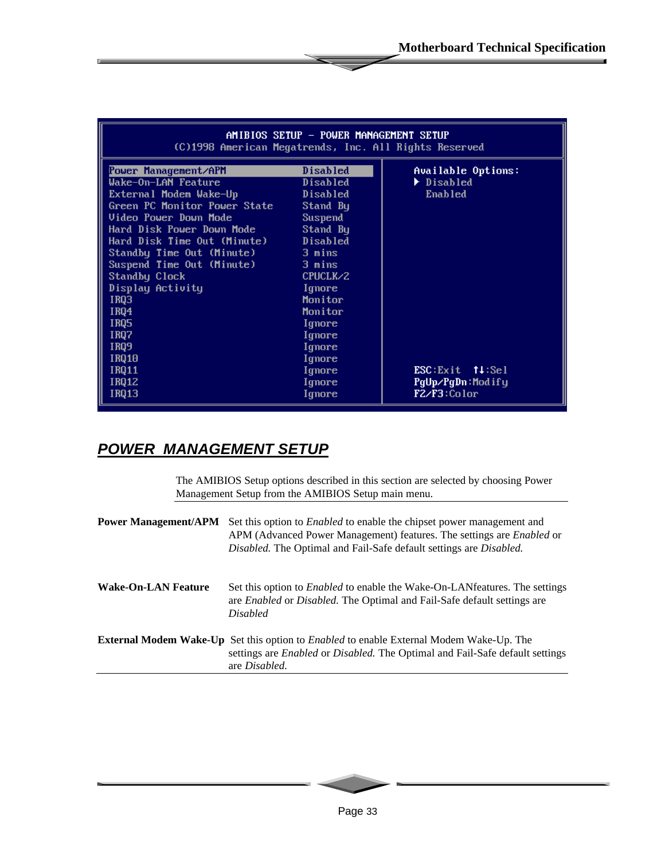$\overline{\phantom{a}}$ 

| AMIBIOS SETUP - POWER MANAGEMENT SETUP<br>(C)1998 American Megatrends, Inc. All Rights Reserved                                                                                                                                                                                                                                                                                                                                          |                                                                                                                                                                                                                              |                                                                                                                                       |  |
|------------------------------------------------------------------------------------------------------------------------------------------------------------------------------------------------------------------------------------------------------------------------------------------------------------------------------------------------------------------------------------------------------------------------------------------|------------------------------------------------------------------------------------------------------------------------------------------------------------------------------------------------------------------------------|---------------------------------------------------------------------------------------------------------------------------------------|--|
| Power Management∕APM<br>Wake-On-LAN Feature<br>External Modem Wake-Up<br>Green PC Monitor Power State<br>Video Power Down Mode<br>Hard Disk Power Down Mode<br>Hard Disk Time Out (Minute) – –<br>Standby Time Out (Minute)<br>Suspend Time Out (Minute)<br>Standby Clock<br>Display Activity<br><b>IRQ3</b><br><b>IRQ4</b><br><b>IRQ5</b><br><b>IRQ7</b><br><b>IRQ9</b><br><b>IRQ10</b><br><b>IRQ11</b><br><b>IRQ12</b><br><b>IRQ13</b> | Disabled<br>Disabled<br>Disabled<br>Stand By<br>Suspend<br>Stand By<br><b>Disabled</b><br>3 mins<br>3 mins<br>CPUCLK/2<br>Ignore<br>Monitor<br>Monitor<br>Ignore<br>Ignore<br>Ignore<br>Ignore<br>Ignore<br>Ignore<br>Ignore | Available Options:<br>$\blacktriangleright$ Disabled<br><b>Enabled</b><br>$ESC: Exit$ $1!Sel$<br>PgUp/PgDn:Modifu<br>$F2$ $F3:$ Color |  |

## *POWER MANAGEMENT SETUP*

The AMIBIOS Setup options described in this section are selected by choosing Power Management Setup from the AMIBIOS Setup main menu.

| <b>Power Management/APM</b> | Set this option to <i>Enabled</i> to enable the chipset power management and<br>APM (Advanced Power Management) features. The settings are <i>Enabled</i> or<br>Disabled. The Optimal and Fail-Safe default settings are Disabled. |
|-----------------------------|------------------------------------------------------------------------------------------------------------------------------------------------------------------------------------------------------------------------------------|
| <b>Wake-On-LAN Feature</b>  | Set this option to <i>Enabled</i> to enable the Wake-On-LAN features. The settings<br>are <i>Enabled</i> or <i>Disabled</i> . The Optimal and Fail-Safe default settings are<br><i>Disabled</i>                                    |
|                             | <b>External Modem Wake-Up</b> Set this option to <i>Enabled</i> to enable External Modem Wake-Up. The<br>settings are <i>Enabled</i> or <i>Disabled</i> . The Optimal and Fail-Safe default settings<br>are Disabled.              |

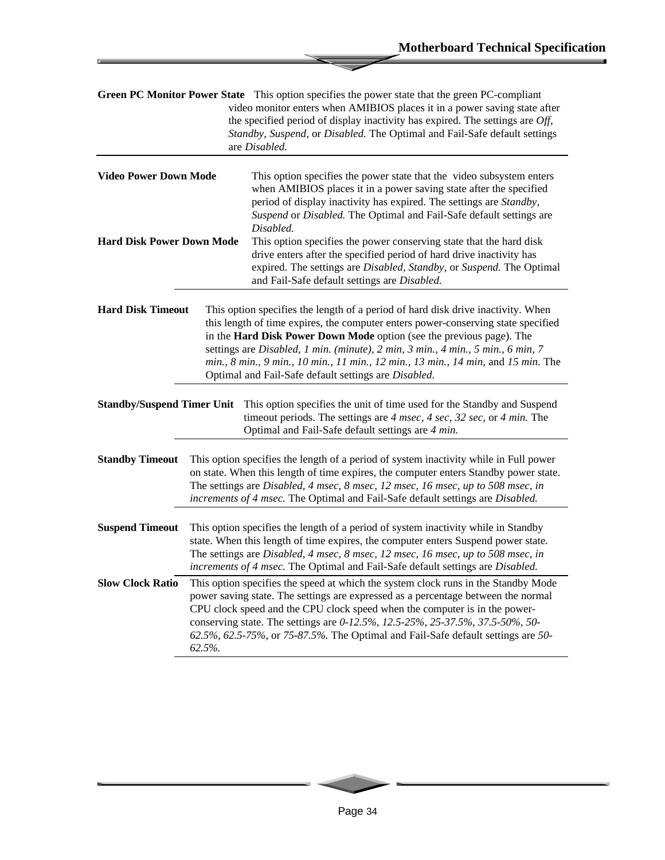**Green PC Monitor Power State** This option specifies the power state that the green PC-compliant video monitor enters when AMIBIOS places it in a power saving state after the specified period of display inactivity has expired. The settings are *Off, Standby, Suspend,* or *Disabled.* The Optimal and Fail-Safe default settings are *Disabled.*

**Video Power Down Mode** This option specifies the power state that the video subsystem enters when AMIBIOS places it in a power saving state after the specified period of display inactivity has expired. The settings are *Standby, Suspend* or *Disabled.* The Optimal and Fail-Safe default settings are *Disabled.* **Hard Disk Power Down Mode** This option specifies the power conserving state that the hard disk drive enters after the specified period of hard drive inactivity has expired. The settings are *Disabled, Standby,* or *Suspend.* The Optimal and Fail-Safe default settings are *Disabled.*

**Hard Disk Timeout** This option specifies the length of a period of hard disk drive inactivity. When this length of time expires, the computer enters power-conserving state specified in the **Hard Disk Power Down Mode** option (see the previous page). The settings are *Disabled, 1 min. (minute), 2 min, 3 min., 4 min., 5 min., 6 min, 7 min., 8 min., 9 min., 10 min., 11 min., 12 min., 13 min., 14 min,* and *15 min*. The Optimal and Fail-Safe default settings are *Disabled.*

**Standby/Suspend Timer Unit** This option specifies the unit of time used for the Standby and Suspend timeout periods. The settings are *4 msec, 4 sec, 32 sec,* or *4 min.* The Optimal and Fail-Safe default settings are *4 min.*

**Standby Timeout** This option specifies the length of a period of system inactivity while in Full power on state. When this length of time expires, the computer enters Standby power state. The settings are *Disabled, 4 msec, 8 msec, 12 msec, 16 msec, up to 508 msec, in increments of 4 msec.* The Optimal and Fail-Safe default settings are *Disabled.*

**Suspend Timeout** This option specifies the length of a period of system inactivity while in Standby state. When this length of time expires, the computer enters Suspend power state. The settings are *Disabled, 4 msec, 8 msec, 12 msec, 16 msec, up to 508 msec, in increments of 4 msec.* The Optimal and Fail-Safe default settings are *Disabled.* **Slow Clock Ratio** This option specifies the speed at which the system clock runs in the Standby Mode power saving state. The settings are expressed as a percentage between the normal CPU clock speed and the CPU clock speed when the computer is in the powerconserving state. The settings are *0-12.5%, 12.5-25%, 25-37.5%, 37.5-50%, 50- 62.5%, 62.5-75%,* or *75-87.5%.* The Optimal and Fail-Safe default settings are *50- 62.5%.*

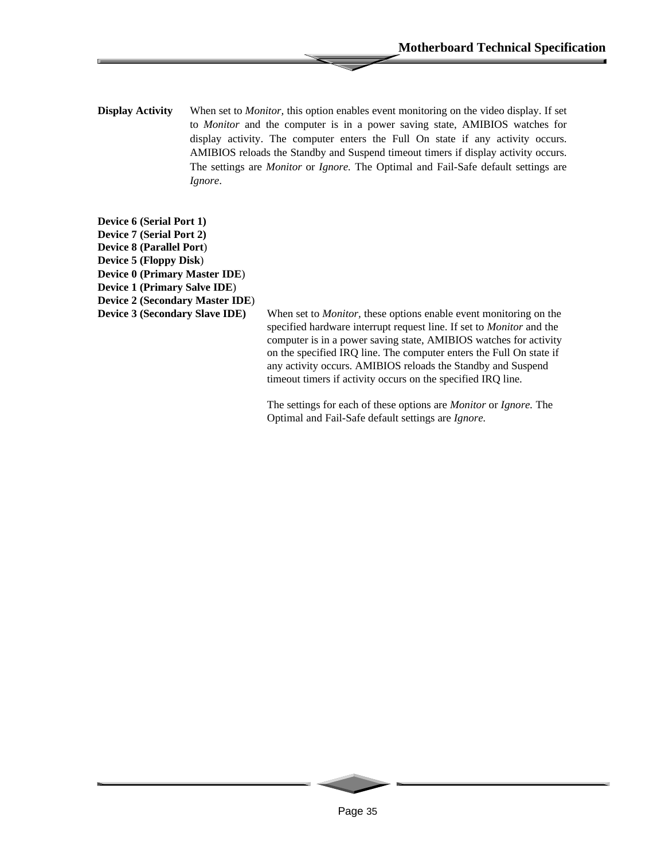**Display Activity** When set to *Monitor,* this option enables event monitoring on the video display. If set to *Monitor* and the computer is in a power saving state, AMIBIOS watches for display activity. The computer enters the Full On state if any activity occurs. AMIBIOS reloads the Standby and Suspend timeout timers if display activity occurs. The settings are *Monitor* or *Ignore.* The Optimal and Fail-Safe default settings are *Ignore*.

**Device 6 (Serial Port 1) Device 7 (Serial Port 2) Device 8 (Parallel Port**) **Device 5 (Floppy Disk**) **Device 0 (Primary Master IDE**) **Device 1 (Primary Salve IDE**) **Device 2 (Secondary Master IDE**)

**Device 3 (Secondary Slave IDE)** When set to *Monitor,* these options enable event monitoring on the specified hardware interrupt request line. If set to *Monitor* and the computer is in a power saving state, AMIBIOS watches for activity on the specified IRQ line. The computer enters the Full On state if any activity occurs. AMIBIOS reloads the Standby and Suspend timeout timers if activity occurs on the specified IRQ line.

> The settings for each of these options are *Monitor* or *Ignore.* The Optimal and Fail-Safe default settings are *Ignore.*

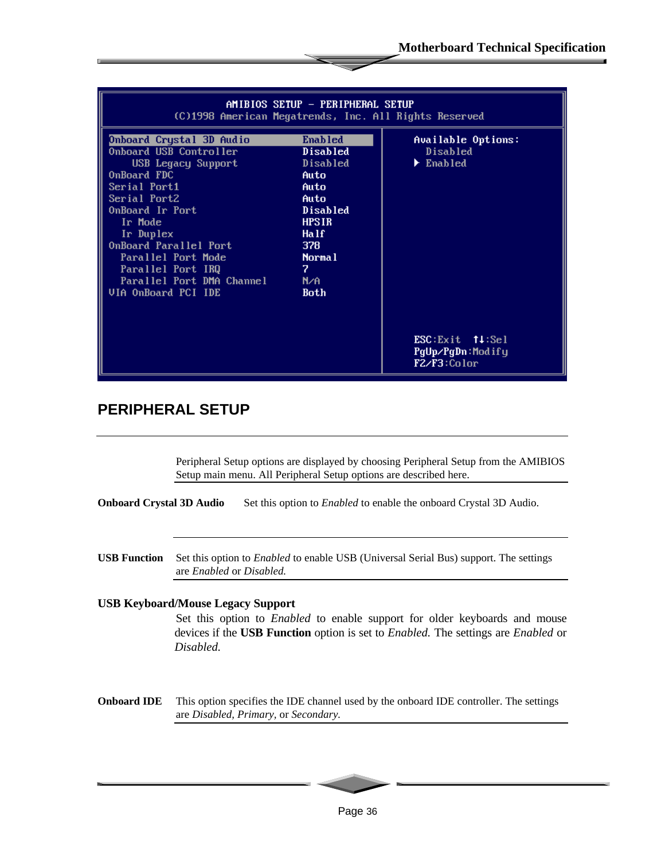|                                                                                                                                                                                                                                                                                                   | AMIBIOS SETUP - PERIPHERAL SETUP<br>(C)1998 American Megatrends, Inc. All Rights Reserved                                                                     |                                                                        |
|---------------------------------------------------------------------------------------------------------------------------------------------------------------------------------------------------------------------------------------------------------------------------------------------------|---------------------------------------------------------------------------------------------------------------------------------------------------------------|------------------------------------------------------------------------|
| Onboard Crystal 3D Audio<br>Onboard USB Controller<br>USB Legacy Support<br>OnBoard FDC<br>Serial Port1<br>Serial Port2<br>OnBoard Ir Port<br>Ir Mode<br>Ir Duplex<br>OnBoard Parallel Port<br>Parallel Port Mode<br>Parallel Port IRQ<br>Parallel Port DMA Channel<br><b>VIA OnBoard PCI IDE</b> | <b>Enabled</b><br>Disabled<br>Disabled<br>Auto<br>Auto<br>Auto<br><b>Disabled</b><br><b>HPSIR</b><br>Ha 1f<br>378<br><b>Normal</b><br>7<br>N/A<br><b>Both</b> | Available Options:<br><b>Disabled</b><br>$\blacktriangleright$ Enabled |
|                                                                                                                                                                                                                                                                                                   |                                                                                                                                                               | ESC:Exit 14:Sel<br>PgUp/PgDn:Modify<br>F2/F3:Color                     |

#### **PERIPHERAL SETUP**

Peripheral Setup options are displayed by choosing Peripheral Setup from the AMIBIOS Setup main menu. All Peripheral Setup options are described here.

**Onboard Crystal 3D Audio** Set this option to *Enabled* to enable the onboard Crystal 3D Audio.

**USB Function** Set this option to *Enabled* to enable USB (Universal Serial Bus) support. The settings are *Enabled* or *Disabled.*

#### **USB Keyboard/Mouse Legacy Support**

Set this option to *Enabled* to enable support for older keyboards and mouse devices if the **USB Function** option is set to *Enabled.* The settings are *Enabled* or *Disabled.*

**Onboard IDE** This option specifies the IDE channel used by the onboard IDE controller. The settings are *Disabled, Primary,* or *Secondary.*

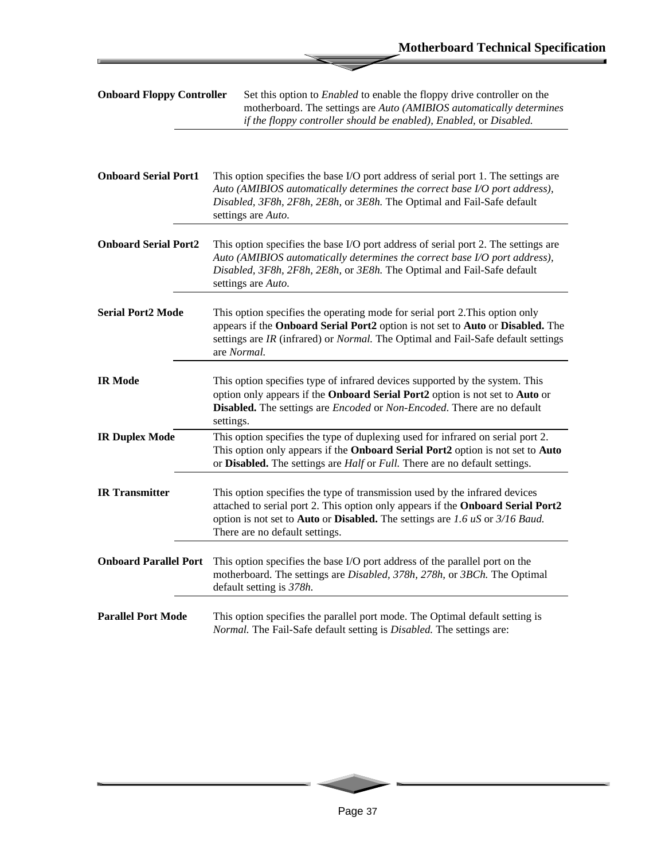**Onboard Floppy Controller** Set this option to *Enabled* to enable the floppy drive controller on the motherboard. The settings are *Auto (AMIBIOS automatically determines if the floppy controller should be enabled), Enabled,* or *Disabled.*

**Onboard Serial Port1** This option specifies the base I/O port address of serial port 1. The settings are *Auto (AMIBIOS automatically determines the correct base I/O port address), Disabled, 3F8h, 2F8h, 2E8h,* or *3E8h.* The Optimal and Fail-Safe default settings are *Auto.*

**Onboard Serial Port2** This option specifies the base I/O port address of serial port 2. The settings are *Auto (AMIBIOS automatically determines the correct base I/O port address), Disabled, 3F8h, 2F8h, 2E8h,* or *3E8h.* The Optimal and Fail-Safe default settings are *Auto.*

**Serial Port2 Mode** This option specifies the operating mode for serial port 2. This option only appears if the **Onboard Serial Port2** option is not set to **Auto** or **Disabled.** The settings are *IR* (infrared) or *Normal.* The Optimal and Fail-Safe default settings are *Normal.*

**IR Mode** This option specifies type of infrared devices supported by the system. This option only appears if the **Onboard Serial Port2** option is not set to **Auto** or **Disabled.** The settings are *Encoded* or *Non-Encoded*. There are no default settings. **IR Duplex Mode** This option specifies the type of duplexing used for infrared on serial port 2. This option only appears if the **Onboard Serial Port2** option is not set to **Auto** or **Disabled.** The settings are *Half* or *Full.* There are no default settings.

**IR Transmitter** This option specifies the type of transmission used by the infrared devices attached to serial port 2. This option only appears if the **Onboard Serial Port2** option is not set to **Auto** or **Disabled.** The settings are *1.6 uS* or *3/16 Baud.* There are no default settings.

**Onboard Parallel Port** This option specifies the base I/O port address of the parallel port on the motherboard. The settings are *Disabled, 378h, 278h,* or *3BCh.* The Optimal default setting is *378h.*

**Parallel Port Mode** This option specifies the parallel port mode. The Optimal default setting is *Normal.* The Fail-Safe default setting is *Disabled.* The settings are:

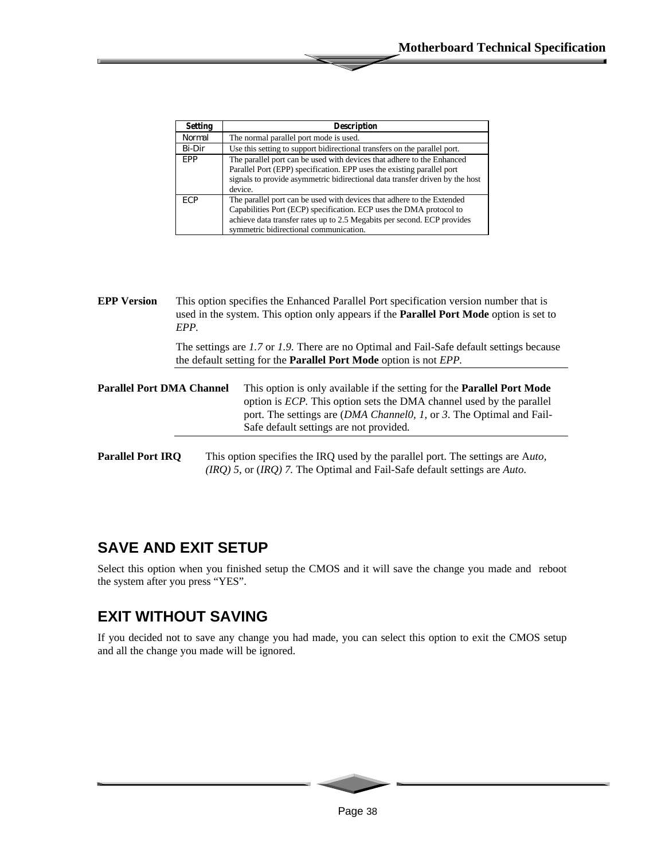| <b>Setting</b> | <b>Description</b>                                                                                                                                                                                                                                                 |
|----------------|--------------------------------------------------------------------------------------------------------------------------------------------------------------------------------------------------------------------------------------------------------------------|
| Normal         | The normal parallel port mode is used.                                                                                                                                                                                                                             |
| $Bi-Dir$       | Use this setting to support bidirectional transfers on the parallel port.                                                                                                                                                                                          |
| <b>EPP</b>     | The parallel port can be used with devices that adhere to the Enhanced<br>Parallel Port (EPP) specification. EPP uses the existing parallel port<br>signals to provide asymmetric bidirectional data transfer driven by the host<br>device.                        |
| <b>ECP</b>     | The parallel port can be used with devices that adhere to the Extended<br>Capabilities Port (ECP) specification. ECP uses the DMA protocol to<br>achieve data transfer rates up to 2.5 Megabits per second. ECP provides<br>symmetric bidirectional communication. |

| <b>EPP Version</b>               | This option specifies the Enhanced Parallel Port specification version number that is<br>used in the system. This option only appears if the <b>Parallel Port Mode</b> option is set to<br>EPP. |                                                                                                                                                                                                                                                                                          |  |
|----------------------------------|-------------------------------------------------------------------------------------------------------------------------------------------------------------------------------------------------|------------------------------------------------------------------------------------------------------------------------------------------------------------------------------------------------------------------------------------------------------------------------------------------|--|
|                                  | The settings are 1.7 or 1.9. There are no Optimal and Fail-Safe default settings because<br>the default setting for the <b>Parallel Port Mode</b> option is not <i>EPP</i> .                    |                                                                                                                                                                                                                                                                                          |  |
| <b>Parallel Port DMA Channel</b> |                                                                                                                                                                                                 | This option is only available if the setting for the <b>Parallel Port Mode</b><br>option is <i>ECP</i> . This option sets the DMA channel used by the parallel<br>port. The settings are <i>(DMA Channel0, 1, or 3.</i> The Optimal and Fail-<br>Safe default settings are not provided. |  |
| <b>Parallel Port IRO</b>         |                                                                                                                                                                                                 | This option specifies the IRQ used by the parallel port. The settings are Auto,                                                                                                                                                                                                          |  |

*(IRQ) 5,* or (*IRQ) 7.* The Optimal and Fail-Safe default settings are *Auto.*

### **SAVE AND EXIT SETUP**

Select this option when you finished setup the CMOS and it will save the change you made and reboot the system after you press "YES".

### **EXIT WITHOUT SAVING**

If you decided not to save any change you had made, you can select this option to exit the CMOS setup and all the change you made will be ignored.

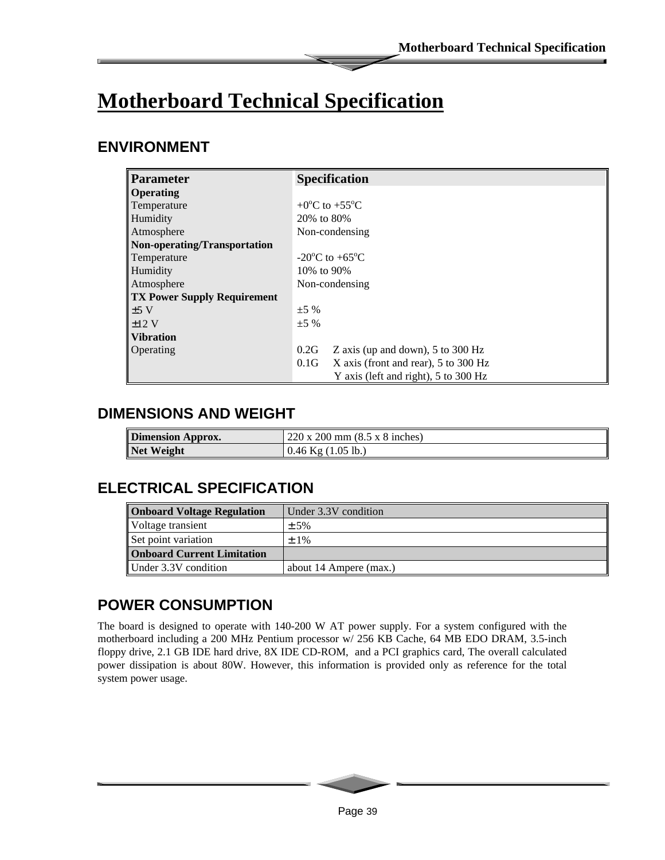## **Motherboard Technical Specification**

### **ENVIRONMENT**

| <b>Parameter</b>                   | <b>Specification</b>                         |  |
|------------------------------------|----------------------------------------------|--|
| <b>Operating</b>                   |                                              |  |
| Temperature                        | +0 <sup>o</sup> C to +55 <sup>o</sup> C      |  |
| <b>Humidity</b>                    | 20\% to 80\%                                 |  |
| Atmosphere                         | Non-condensing                               |  |
| Non-operating/Transportation       |                                              |  |
| <b>Temperature</b>                 | $-20^{\circ}$ C to $+65^{\circ}$ C           |  |
| <b>Humidity</b>                    | 10\% to 90\%                                 |  |
| Atmosphere                         | Non-condensing                               |  |
| <b>TX Power Supply Requirement</b> |                                              |  |
| $\pm 5$ V                          | $\pm 5\%$                                    |  |
| $±12$ V                            | $\pm 5\%$                                    |  |
| <b>Vibration</b>                   |                                              |  |
| <b>Operating</b>                   | Z axis (up and down), 5 to 300 Hz<br>0.2G    |  |
|                                    | X axis (front and rear), 5 to 300 Hz<br>0.1G |  |
|                                    | Y axis (left and right), 5 to 300 Hz         |  |

#### **DIMENSIONS AND WEIGHT**

| <b>Dimension Approx.</b> | $220 \times 200$ mm $(8.5 \times 8)$ inches) |
|--------------------------|----------------------------------------------|
| Net Weight               | $0.46$ Kg $(1.05$ lb.)                       |

### **ELECTRICAL SPECIFICATION**

| <b>Onboard Voltage Regulation</b> | Under 3.3V condition   |
|-----------------------------------|------------------------|
| Voltage transient                 | $± 5\%$                |
| Set point variation               | $±1\%$                 |
| <b>Onboard Current Limitation</b> |                        |
| Under 3.3V condition              | about 14 Ampere (max.) |

### **POWER CONSUMPTION**

The board is designed to operate with 140-200 W AT power supply. For a system configured with the motherboard including a 200 MHz Pentium processor w/ 256 KB Cache, 64 MB EDO DRAM, 3.5-inch floppy drive, 2.1 GB IDE hard drive, 8X IDE CD-ROM, and a PCI graphics card, The overall calculated power dissipation is about 80W. However, this information is provided only as reference for the total system power usage.